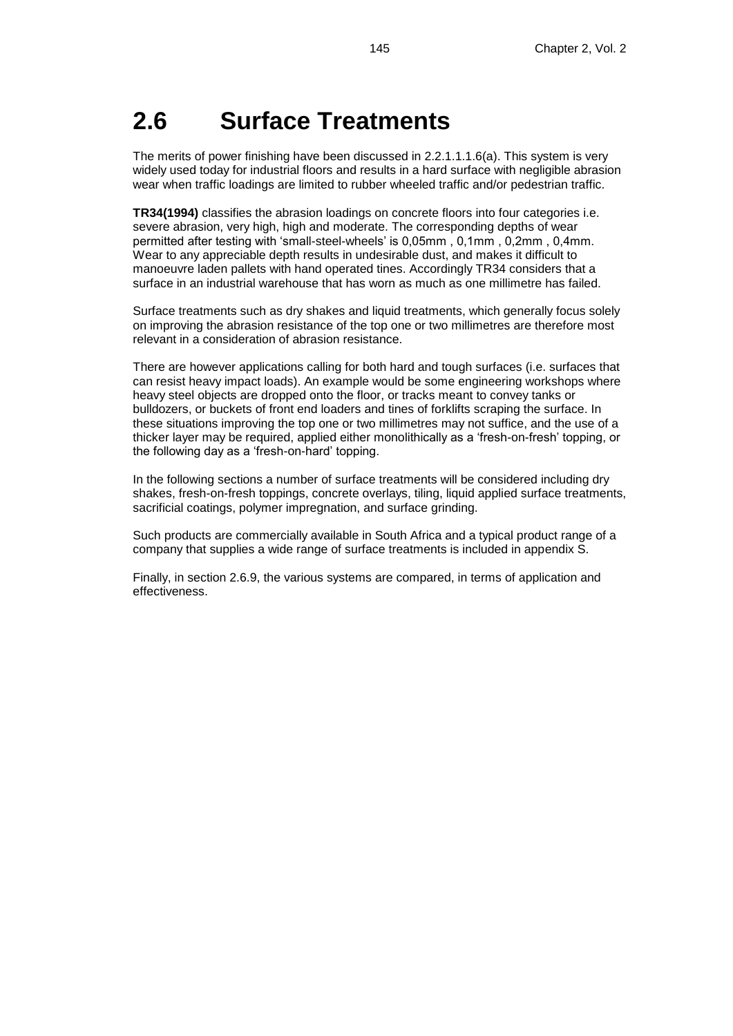## **2.6 Surface Treatments**

The merits of power finishing have been discussed in 2.2.1.1.1.6(a). This system is very widely used today for industrial floors and results in a hard surface with negligible abrasion wear when traffic loadings are limited to rubber wheeled traffic and/or pedestrian traffic.

**TR34(1994)** classifies the abrasion loadings on concrete floors into four categories i.e. severe abrasion, very high, high and moderate. The corresponding depths of wear permitted after testing with 'small-steel-wheels' is 0,05mm , 0,1mm , 0,2mm , 0,4mm. Wear to any appreciable depth results in undesirable dust, and makes it difficult to manoeuvre laden pallets with hand operated tines. Accordingly TR34 considers that a surface in an industrial warehouse that has worn as much as one millimetre has failed.

Surface treatments such as dry shakes and liquid treatments, which generally focus solely on improving the abrasion resistance of the top one or two millimetres are therefore most relevant in a consideration of abrasion resistance.

There are however applications calling for both hard and tough surfaces (i.e. surfaces that can resist heavy impact loads). An example would be some engineering workshops where heavy steel objects are dropped onto the floor, or tracks meant to convey tanks or bulldozers, or buckets of front end loaders and tines of forklifts scraping the surface. In these situations improving the top one or two millimetres may not suffice, and the use of a thicker layer may be required, applied either monolithically as a 'fresh-on-fresh' topping, or the following day as a 'fresh-on-hard' topping.

In the following sections a number of surface treatments will be considered including dry shakes, fresh-on-fresh toppings, concrete overlays, tiling, liquid applied surface treatments, sacrificial coatings, polymer impregnation, and surface grinding.

Such products are commercially available in South Africa and a typical product range of a company that supplies a wide range of surface treatments is included in appendix S.

Finally, in section 2.6.9, the various systems are compared, in terms of application and effectiveness.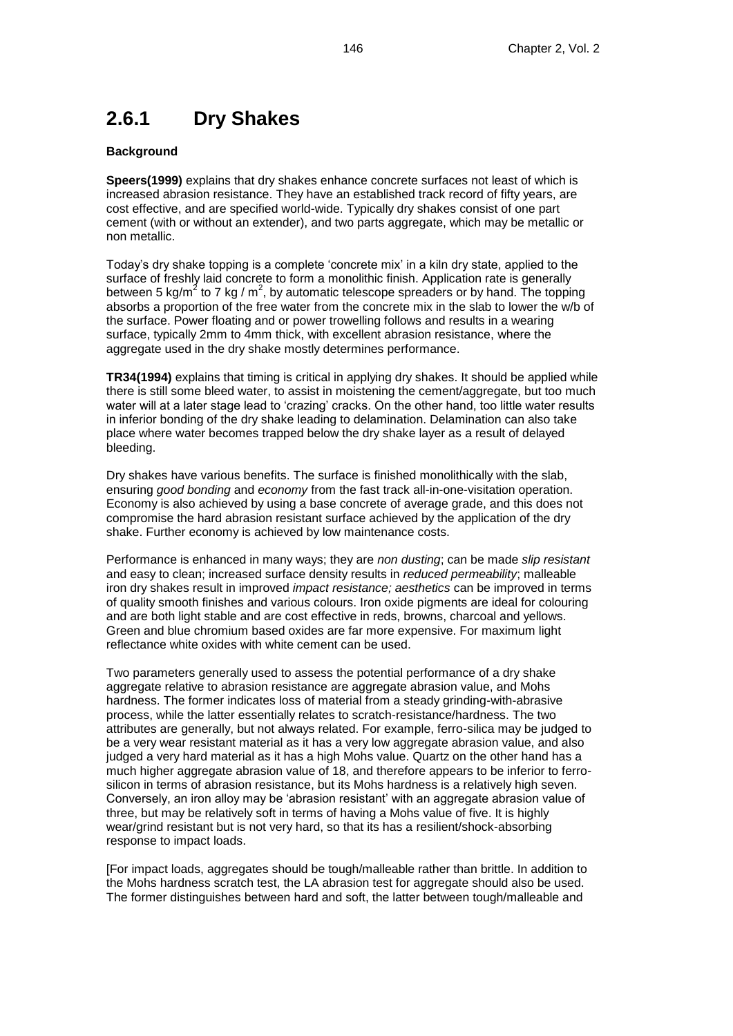## **2.6.1 Dry Shakes**

### **Background**

**Speers(1999)** explains that dry shakes enhance concrete surfaces not least of which is increased abrasion resistance. They have an established track record of fifty years, are cost effective, and are specified world-wide. Typically dry shakes consist of one part cement (with or without an extender), and two parts aggregate, which may be metallic or non metallic.

Today's dry shake topping is a complete 'concrete mix' in a kiln dry state, applied to the surface of freshly laid concrete to form a monolithic finish. Application rate is generally between 5 kg/m<sup>2</sup> to 7 kg / m<sup>2</sup>, by automatic telescope spreaders or by hand. The topping absorbs a proportion of the free water from the concrete mix in the slab to lower the w/b of the surface. Power floating and or power trowelling follows and results in a wearing surface, typically 2mm to 4mm thick, with excellent abrasion resistance, where the aggregate used in the dry shake mostly determines performance.

**TR34(1994)** explains that timing is critical in applying dry shakes. It should be applied while there is still some bleed water, to assist in moistening the cement/aggregate, but too much water will at a later stage lead to 'crazing' cracks. On the other hand, too little water results in inferior bonding of the dry shake leading to delamination. Delamination can also take place where water becomes trapped below the dry shake layer as a result of delayed bleeding.

Dry shakes have various benefits. The surface is finished monolithically with the slab, ensuring *good bonding* and *economy* from the fast track all-in-one-visitation operation. Economy is also achieved by using a base concrete of average grade, and this does not compromise the hard abrasion resistant surface achieved by the application of the dry shake. Further economy is achieved by low maintenance costs.

Performance is enhanced in many ways; they are *non dusting*; can be made *slip resistant* and easy to clean; increased surface density results in *reduced permeability*; malleable iron dry shakes result in improved *impact resistance; aesthetics* can be improved in terms of quality smooth finishes and various colours. Iron oxide pigments are ideal for colouring and are both light stable and are cost effective in reds, browns, charcoal and yellows. Green and blue chromium based oxides are far more expensive. For maximum light reflectance white oxides with white cement can be used.

Two parameters generally used to assess the potential performance of a dry shake aggregate relative to abrasion resistance are aggregate abrasion value, and Mohs hardness. The former indicates loss of material from a steady grinding-with-abrasive process, while the latter essentially relates to scratch-resistance/hardness. The two attributes are generally, but not always related. For example, ferro-silica may be judged to be a very wear resistant material as it has a very low aggregate abrasion value, and also judged a very hard material as it has a high Mohs value. Quartz on the other hand has a much higher aggregate abrasion value of 18, and therefore appears to be inferior to ferrosilicon in terms of abrasion resistance, but its Mohs hardness is a relatively high seven. Conversely, an iron alloy may be 'abrasion resistant' with an aggregate abrasion value of three, but may be relatively soft in terms of having a Mohs value of five. It is highly wear/grind resistant but is not very hard, so that its has a resilient/shock-absorbing response to impact loads.

[For impact loads, aggregates should be tough/malleable rather than brittle. In addition to the Mohs hardness scratch test, the LA abrasion test for aggregate should also be used. The former distinguishes between hard and soft, the latter between tough/malleable and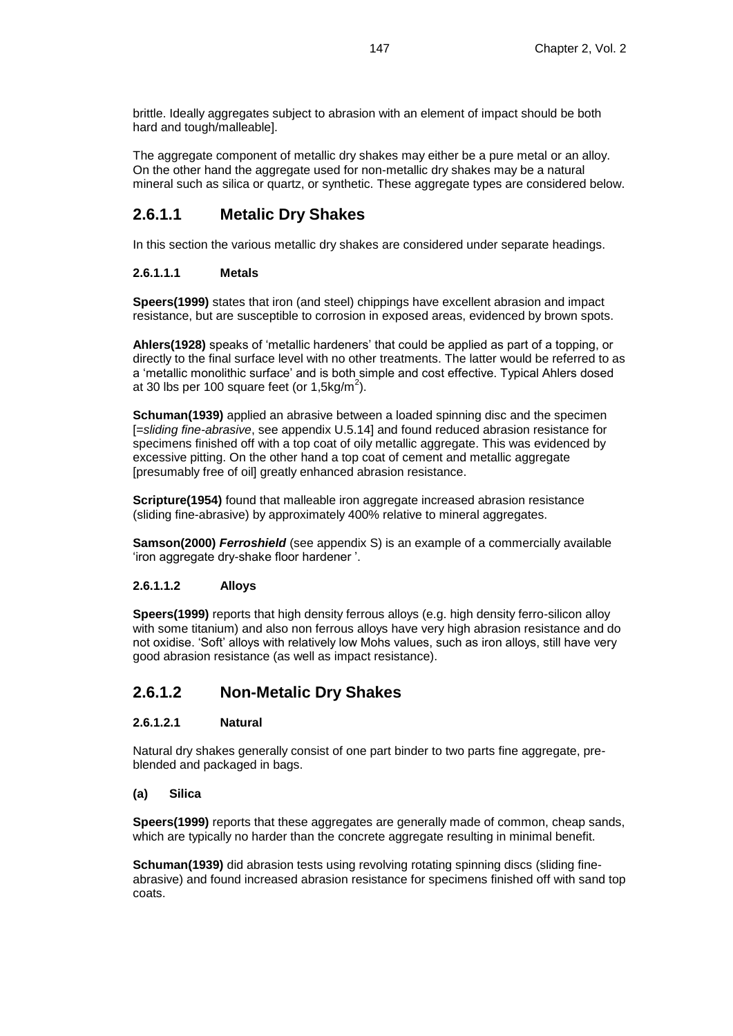brittle. Ideally aggregates subject to abrasion with an element of impact should be both hard and tough/malleable].

The aggregate component of metallic dry shakes may either be a pure metal or an alloy. On the other hand the aggregate used for non-metallic dry shakes may be a natural mineral such as silica or quartz, or synthetic. These aggregate types are considered below.

### **2.6.1.1 Metalic Dry Shakes**

In this section the various metallic dry shakes are considered under separate headings.

### **2.6.1.1.1 Metals**

**Speers(1999)** states that iron (and steel) chippings have excellent abrasion and impact resistance, but are susceptible to corrosion in exposed areas, evidenced by brown spots.

**Ahlers(1928)** speaks of 'metallic hardeners' that could be applied as part of a topping, or directly to the final surface level with no other treatments. The latter would be referred to as a 'metallic monolithic surface' and is both simple and cost effective. Typical Ahlers dosed at 30 lbs per 100 square feet (or 1,5kg/m<sup>2</sup>).

**Schuman(1939)** applied an abrasive between a loaded spinning disc and the specimen [=*sliding fine-abrasive*, see appendix U.5.14] and found reduced abrasion resistance for specimens finished off with a top coat of oily metallic aggregate. This was evidenced by excessive pitting. On the other hand a top coat of cement and metallic aggregate [presumably free of oil] greatly enhanced abrasion resistance.

**Scripture(1954)** found that malleable iron aggregate increased abrasion resistance (sliding fine-abrasive) by approximately 400% relative to mineral aggregates.

**Samson(2000)** *Ferroshield* (see appendix S) is an example of a commercially available 'iron aggregate dry-shake floor hardener '.

### **2.6.1.1.2 Alloys**

**Speers(1999)** reports that high density ferrous alloys (e.g. high density ferro-silicon alloy with some titanium) and also non ferrous alloys have very high abrasion resistance and do not oxidise. 'Soft' alloys with relatively low Mohs values, such as iron alloys, still have very good abrasion resistance (as well as impact resistance).

### **2.6.1.2 Non-Metalic Dry Shakes**

### **2.6.1.2.1 Natural**

Natural dry shakes generally consist of one part binder to two parts fine aggregate, preblended and packaged in bags.

### **(a) Silica**

**Speers(1999)** reports that these aggregates are generally made of common, cheap sands, which are typically no harder than the concrete aggregate resulting in minimal benefit.

**Schuman(1939)** did abrasion tests using revolving rotating spinning discs (sliding fineabrasive) and found increased abrasion resistance for specimens finished off with sand top coats.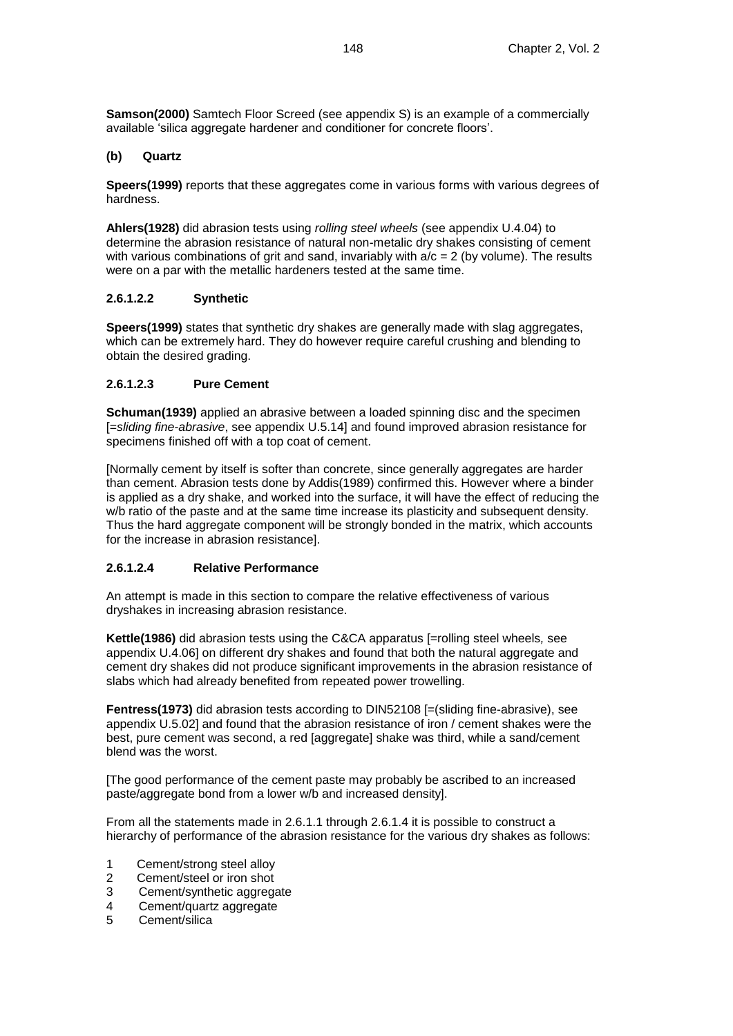**Samson(2000)** Samtech Floor Screed (see appendix S) is an example of a commercially available 'silica aggregate hardener and conditioner for concrete floors'.

### **(b) Quartz**

**Speers(1999)** reports that these aggregates come in various forms with various degrees of hardness.

**Ahlers(1928)** did abrasion tests using *rolling steel wheels* (see appendix U.4.04) to determine the abrasion resistance of natural non-metalic dry shakes consisting of cement with various combinations of grit and sand, invariably with  $a/c = 2$  (by volume). The results were on a par with the metallic hardeners tested at the same time.

### **2.6.1.2.2 Synthetic**

**Speers(1999)** states that synthetic dry shakes are generally made with slag aggregates, which can be extremely hard. They do however require careful crushing and blending to obtain the desired grading.

#### **2.6.1.2.3 Pure Cement**

**Schuman(1939)** applied an abrasive between a loaded spinning disc and the specimen [=*sliding fine-abrasive*, see appendix U.5.14] and found improved abrasion resistance for specimens finished off with a top coat of cement.

[Normally cement by itself is softer than concrete, since generally aggregates are harder than cement. Abrasion tests done by Addis(1989) confirmed this. However where a binder is applied as a dry shake, and worked into the surface, it will have the effect of reducing the w/b ratio of the paste and at the same time increase its plasticity and subsequent density. Thus the hard aggregate component will be strongly bonded in the matrix, which accounts for the increase in abrasion resistance].

### **2.6.1.2.4 Relative Performance**

An attempt is made in this section to compare the relative effectiveness of various dryshakes in increasing abrasion resistance.

**Kettle(1986)** did abrasion tests using the C&CA apparatus [=rolling steel wheels*,* see appendix U.4.06] on different dry shakes and found that both the natural aggregate and cement dry shakes did not produce significant improvements in the abrasion resistance of slabs which had already benefited from repeated power trowelling.

**Fentress(1973)** did abrasion tests according to DIN52108 [=(sliding fine-abrasive), see appendix U.5.02] and found that the abrasion resistance of iron / cement shakes were the best, pure cement was second, a red [aggregate] shake was third, while a sand/cement blend was the worst.

[The good performance of the cement paste may probably be ascribed to an increased paste/aggregate bond from a lower w/b and increased density].

From all the statements made in 2.6.1.1 through 2.6.1.4 it is possible to construct a hierarchy of performance of the abrasion resistance for the various dry shakes as follows:

- 1 Cement/strong steel alloy
- 2 Cement/steel or iron shot
- 3 Cement/synthetic aggregate
- 4 Cement/quartz aggregate
- 5 Cement/silica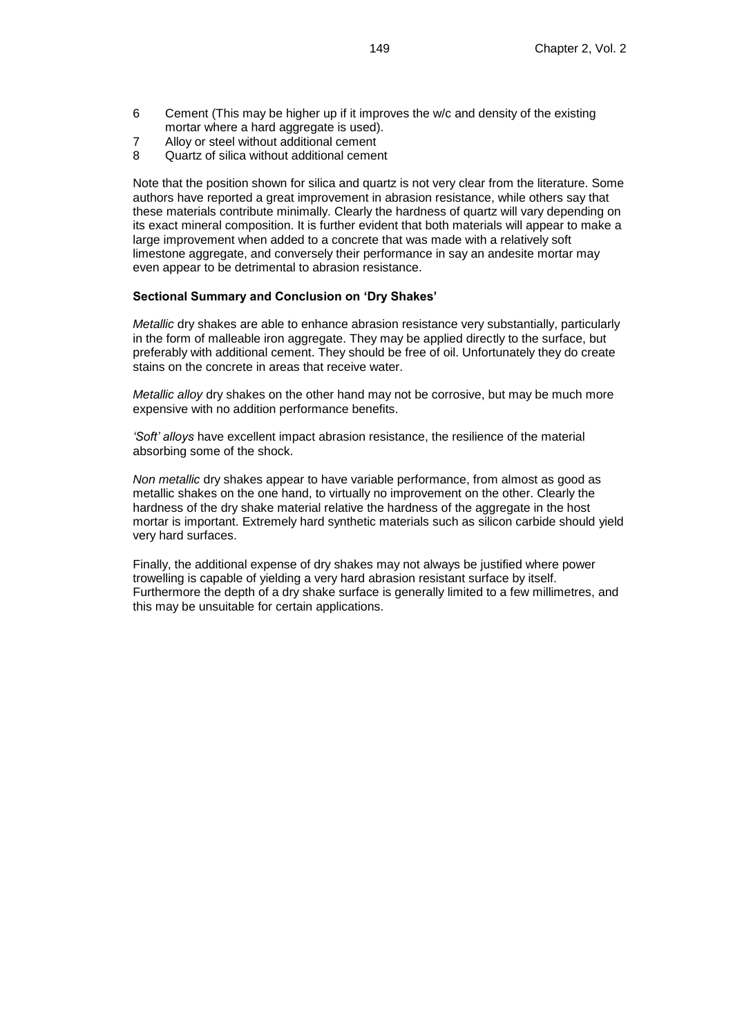- 6 Cement (This may be higher up if it improves the w/c and density of the existing mortar where a hard aggregate is used).
- 7 Alloy or steel without additional cement
- Quartz of silica without additional cement

Note that the position shown for silica and quartz is not very clear from the literature. Some authors have reported a great improvement in abrasion resistance, while others say that these materials contribute minimally. Clearly the hardness of quartz will vary depending on its exact mineral composition. It is further evident that both materials will appear to make a large improvement when added to a concrete that was made with a relatively soft limestone aggregate, and conversely their performance in say an andesite mortar may even appear to be detrimental to abrasion resistance.

#### **Sectional Summary and Conclusion on 'Dry Shakes'**

*Metallic* dry shakes are able to enhance abrasion resistance very substantially, particularly in the form of malleable iron aggregate. They may be applied directly to the surface, but preferably with additional cement. They should be free of oil. Unfortunately they do create stains on the concrete in areas that receive water.

*Metallic alloy* dry shakes on the other hand may not be corrosive, but may be much more expensive with no addition performance benefits.

*'Soft' alloys* have excellent impact abrasion resistance, the resilience of the material absorbing some of the shock.

*Non metallic* dry shakes appear to have variable performance, from almost as good as metallic shakes on the one hand, to virtually no improvement on the other. Clearly the hardness of the dry shake material relative the hardness of the aggregate in the host mortar is important. Extremely hard synthetic materials such as silicon carbide should yield very hard surfaces.

Finally, the additional expense of dry shakes may not always be justified where power trowelling is capable of yielding a very hard abrasion resistant surface by itself. Furthermore the depth of a dry shake surface is generally limited to a few millimetres, and this may be unsuitable for certain applications.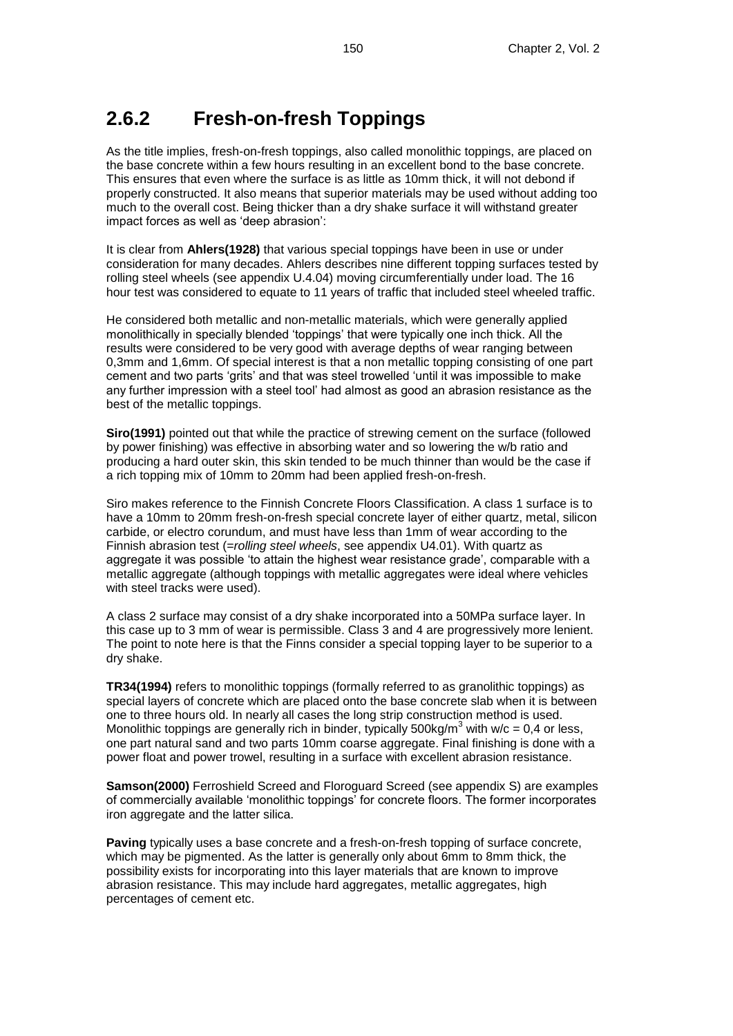## **2.6.2 Fresh-on-fresh Toppings**

As the title implies, fresh-on-fresh toppings, also called monolithic toppings, are placed on the base concrete within a few hours resulting in an excellent bond to the base concrete. This ensures that even where the surface is as little as 10mm thick, it will not debond if properly constructed. It also means that superior materials may be used without adding too much to the overall cost. Being thicker than a dry shake surface it will withstand greater impact forces as well as 'deep abrasion':

It is clear from **Ahlers(1928)** that various special toppings have been in use or under consideration for many decades. Ahlers describes nine different topping surfaces tested by rolling steel wheels (see appendix U.4.04) moving circumferentially under load. The 16 hour test was considered to equate to 11 years of traffic that included steel wheeled traffic.

He considered both metallic and non-metallic materials, which were generally applied monolithically in specially blended 'toppings' that were typically one inch thick. All the results were considered to be very good with average depths of wear ranging between 0,3mm and 1,6mm. Of special interest is that a non metallic topping consisting of one part cement and two parts 'grits' and that was steel trowelled 'until it was impossible to make any further impression with a steel tool' had almost as good an abrasion resistance as the best of the metallic toppings.

**Siro(1991)** pointed out that while the practice of strewing cement on the surface (followed by power finishing) was effective in absorbing water and so lowering the w/b ratio and producing a hard outer skin, this skin tended to be much thinner than would be the case if a rich topping mix of 10mm to 20mm had been applied fresh-on-fresh.

Siro makes reference to the Finnish Concrete Floors Classification. A class 1 surface is to have a 10mm to 20mm fresh-on-fresh special concrete layer of either quartz, metal, silicon carbide, or electro corundum, and must have less than 1mm of wear according to the Finnish abrasion test (=*rolling steel wheels*, see appendix U4.01). With quartz as aggregate it was possible 'to attain the highest wear resistance grade', comparable with a metallic aggregate (although toppings with metallic aggregates were ideal where vehicles with steel tracks were used).

A class 2 surface may consist of a dry shake incorporated into a 50MPa surface layer. In this case up to 3 mm of wear is permissible. Class 3 and 4 are progressively more lenient. The point to note here is that the Finns consider a special topping layer to be superior to a dry shake.

**TR34(1994)** refers to monolithic toppings (formally referred to as granolithic toppings) as special layers of concrete which are placed onto the base concrete slab when it is between one to three hours old. In nearly all cases the long strip construction method is used. Monolithic toppings are generally rich in binder, typically 500kg/m<sup>3</sup> with w/c = 0,4 or less, one part natural sand and two parts 10mm coarse aggregate. Final finishing is done with a power float and power trowel, resulting in a surface with excellent abrasion resistance.

**Samson(2000)** Ferroshield Screed and Floroguard Screed (see appendix S) are examples of commercially available 'monolithic toppings' for concrete floors. The former incorporates iron aggregate and the latter silica.

**Paving** typically uses a base concrete and a fresh-on-fresh topping of surface concrete, which may be pigmented. As the latter is generally only about 6mm to 8mm thick, the possibility exists for incorporating into this layer materials that are known to improve abrasion resistance. This may include hard aggregates, metallic aggregates, high percentages of cement etc.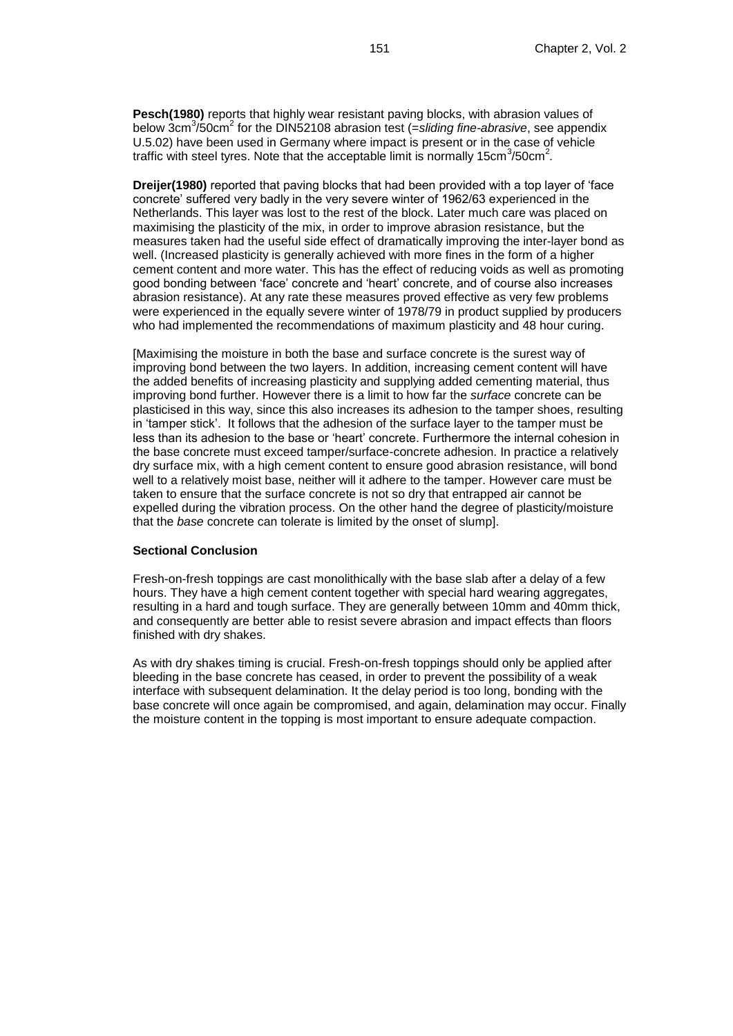**Pesch(1980)** reports that highly wear resistant paving blocks, with abrasion values of below 3cm<sup>3</sup>/50cm<sup>2</sup> for the DIN52108 abrasion test (=sliding fine-abrasive, see appendix U.5.02) have been used in Germany where impact is present or in the case of vehicle traffic with steel tyres. Note that the acceptable limit is normally 15cm<sup>3</sup>/50cm<sup>2</sup>.

**Dreijer(1980)** reported that paving blocks that had been provided with a top layer of 'face concrete' suffered very badly in the very severe winter of 1962/63 experienced in the Netherlands. This layer was lost to the rest of the block. Later much care was placed on maximising the plasticity of the mix, in order to improve abrasion resistance, but the measures taken had the useful side effect of dramatically improving the inter-layer bond as well. (Increased plasticity is generally achieved with more fines in the form of a higher cement content and more water. This has the effect of reducing voids as well as promoting good bonding between 'face' concrete and 'heart' concrete, and of course also increases abrasion resistance). At any rate these measures proved effective as very few problems were experienced in the equally severe winter of 1978/79 in product supplied by producers who had implemented the recommendations of maximum plasticity and 48 hour curing.

[Maximising the moisture in both the base and surface concrete is the surest way of improving bond between the two layers. In addition, increasing cement content will have the added benefits of increasing plasticity and supplying added cementing material, thus improving bond further. However there is a limit to how far the *surface* concrete can be plasticised in this way, since this also increases its adhesion to the tamper shoes, resulting in 'tamper stick'. It follows that the adhesion of the surface layer to the tamper must be less than its adhesion to the base or 'heart' concrete. Furthermore the internal cohesion in the base concrete must exceed tamper/surface-concrete adhesion. In practice a relatively dry surface mix, with a high cement content to ensure good abrasion resistance, will bond well to a relatively moist base, neither will it adhere to the tamper. However care must be taken to ensure that the surface concrete is not so dry that entrapped air cannot be expelled during the vibration process. On the other hand the degree of plasticity/moisture that the *base* concrete can tolerate is limited by the onset of slump].

#### **Sectional Conclusion**

Fresh-on-fresh toppings are cast monolithically with the base slab after a delay of a few hours. They have a high cement content together with special hard wearing aggregates, resulting in a hard and tough surface. They are generally between 10mm and 40mm thick, and consequently are better able to resist severe abrasion and impact effects than floors finished with dry shakes.

As with dry shakes timing is crucial. Fresh-on-fresh toppings should only be applied after bleeding in the base concrete has ceased, in order to prevent the possibility of a weak interface with subsequent delamination. It the delay period is too long, bonding with the base concrete will once again be compromised, and again, delamination may occur. Finally the moisture content in the topping is most important to ensure adequate compaction.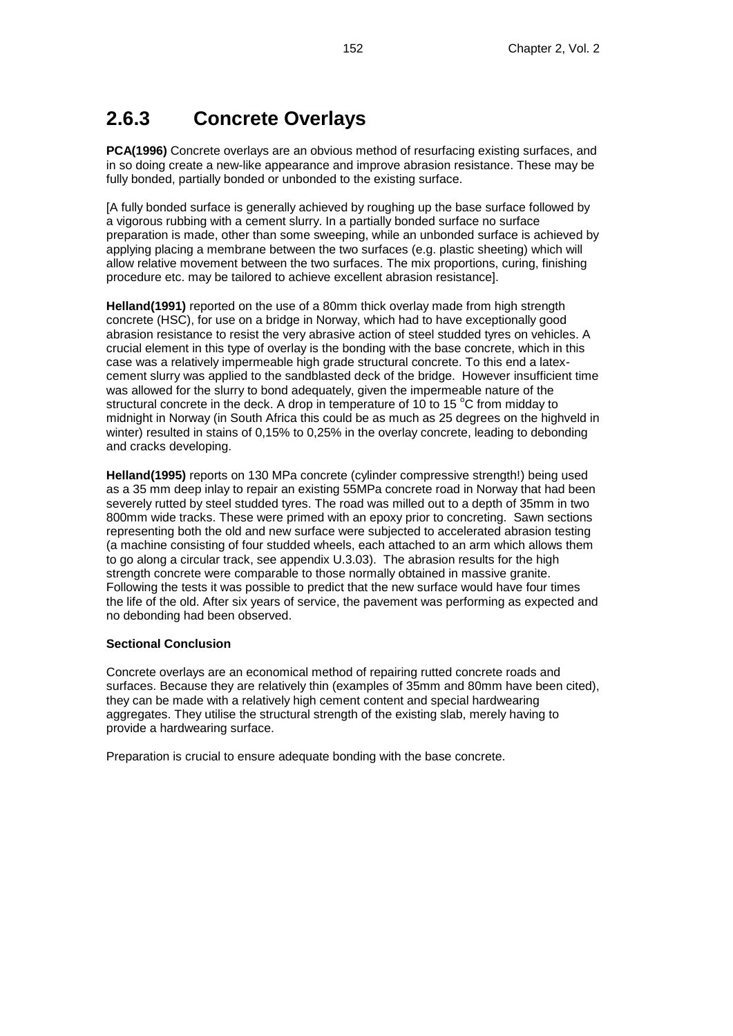## **2.6.3 Concrete Overlays**

**PCA(1996)** Concrete overlays are an obvious method of resurfacing existing surfaces, and in so doing create a new-like appearance and improve abrasion resistance. These may be fully bonded, partially bonded or unbonded to the existing surface.

[A fully bonded surface is generally achieved by roughing up the base surface followed by a vigorous rubbing with a cement slurry. In a partially bonded surface no surface preparation is made, other than some sweeping, while an unbonded surface is achieved by applying placing a membrane between the two surfaces (e.g. plastic sheeting) which will allow relative movement between the two surfaces. The mix proportions, curing, finishing procedure etc. may be tailored to achieve excellent abrasion resistance].

**Helland(1991)** reported on the use of a 80mm thick overlay made from high strength concrete (HSC), for use on a bridge in Norway, which had to have exceptionally good abrasion resistance to resist the very abrasive action of steel studded tyres on vehicles. A crucial element in this type of overlay is the bonding with the base concrete, which in this case was a relatively impermeable high grade structural concrete. To this end a latexcement slurry was applied to the sandblasted deck of the bridge. However insufficient time was allowed for the slurry to bond adequately, given the impermeable nature of the structural concrete in the deck. A drop in temperature of 10 to 15 $^{\circ}$ C from midday to midnight in Norway (in South Africa this could be as much as 25 degrees on the highveld in winter) resulted in stains of 0,15% to 0,25% in the overlay concrete, leading to debonding and cracks developing.

**Helland(1995)** reports on 130 MPa concrete (cylinder compressive strength!) being used as a 35 mm deep inlay to repair an existing 55MPa concrete road in Norway that had been severely rutted by steel studded tyres. The road was milled out to a depth of 35mm in two 800mm wide tracks. These were primed with an epoxy prior to concreting. Sawn sections representing both the old and new surface were subjected to accelerated abrasion testing (a machine consisting of four studded wheels, each attached to an arm which allows them to go along a circular track, see appendix U.3.03). The abrasion results for the high strength concrete were comparable to those normally obtained in massive granite. Following the tests it was possible to predict that the new surface would have four times the life of the old. After six years of service, the pavement was performing as expected and no debonding had been observed.

### **Sectional Conclusion**

Concrete overlays are an economical method of repairing rutted concrete roads and surfaces. Because they are relatively thin (examples of 35mm and 80mm have been cited), they can be made with a relatively high cement content and special hardwearing aggregates. They utilise the structural strength of the existing slab, merely having to provide a hardwearing surface.

Preparation is crucial to ensure adequate bonding with the base concrete.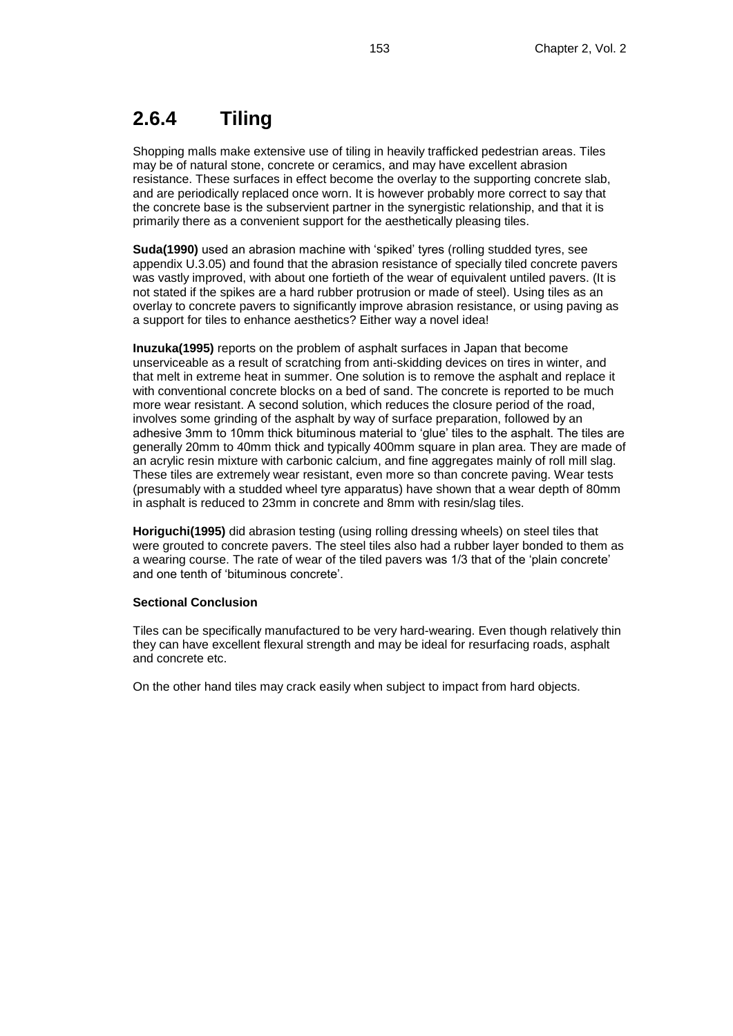## **2.6.4 Tiling**

Shopping malls make extensive use of tiling in heavily trafficked pedestrian areas. Tiles may be of natural stone, concrete or ceramics, and may have excellent abrasion resistance. These surfaces in effect become the overlay to the supporting concrete slab, and are periodically replaced once worn. It is however probably more correct to say that the concrete base is the subservient partner in the synergistic relationship, and that it is primarily there as a convenient support for the aesthetically pleasing tiles.

**Suda(1990)** used an abrasion machine with 'spiked' tyres (rolling studded tyres, see appendix U.3.05) and found that the abrasion resistance of specially tiled concrete pavers was vastly improved, with about one fortieth of the wear of equivalent untiled pavers. (It is not stated if the spikes are a hard rubber protrusion or made of steel). Using tiles as an overlay to concrete pavers to significantly improve abrasion resistance, or using paving as a support for tiles to enhance aesthetics? Either way a novel idea!

**Inuzuka(1995)** reports on the problem of asphalt surfaces in Japan that become unserviceable as a result of scratching from anti-skidding devices on tires in winter, and that melt in extreme heat in summer. One solution is to remove the asphalt and replace it with conventional concrete blocks on a bed of sand. The concrete is reported to be much more wear resistant. A second solution, which reduces the closure period of the road, involves some grinding of the asphalt by way of surface preparation, followed by an adhesive 3mm to 10mm thick bituminous material to 'glue' tiles to the asphalt. The tiles are generally 20mm to 40mm thick and typically 400mm square in plan area. They are made of an acrylic resin mixture with carbonic calcium, and fine aggregates mainly of roll mill slag. These tiles are extremely wear resistant, even more so than concrete paving. Wear tests (presumably with a studded wheel tyre apparatus) have shown that a wear depth of 80mm in asphalt is reduced to 23mm in concrete and 8mm with resin/slag tiles.

**Horiguchi(1995)** did abrasion testing (using rolling dressing wheels) on steel tiles that were grouted to concrete pavers. The steel tiles also had a rubber layer bonded to them as a wearing course. The rate of wear of the tiled pavers was 1/3 that of the 'plain concrete' and one tenth of 'bituminous concrete'.

### **Sectional Conclusion**

Tiles can be specifically manufactured to be very hard-wearing. Even though relatively thin they can have excellent flexural strength and may be ideal for resurfacing roads, asphalt and concrete etc.

On the other hand tiles may crack easily when subject to impact from hard objects.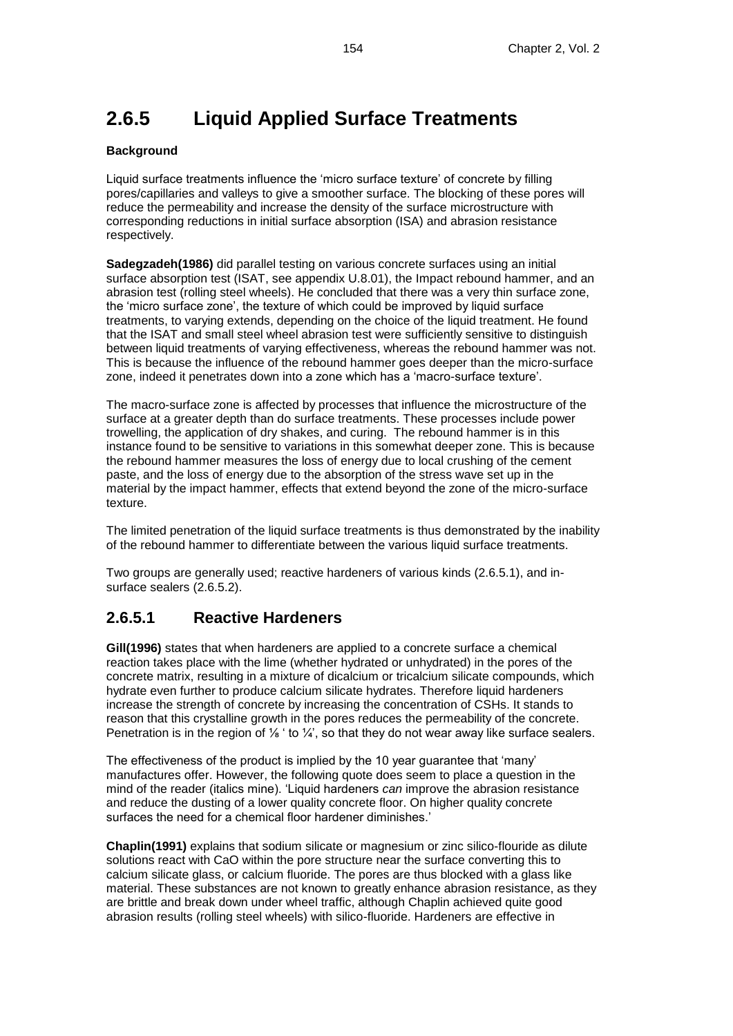## **2.6.5 Liquid Applied Surface Treatments**

### **Background**

Liquid surface treatments influence the 'micro surface texture' of concrete by filling pores/capillaries and valleys to give a smoother surface. The blocking of these pores will reduce the permeability and increase the density of the surface microstructure with corresponding reductions in initial surface absorption (ISA) and abrasion resistance respectively.

**Sadegzadeh(1986)** did parallel testing on various concrete surfaces using an initial surface absorption test (ISAT, see appendix U.8.01), the Impact rebound hammer, and an abrasion test (rolling steel wheels). He concluded that there was a very thin surface zone, the 'micro surface zone', the texture of which could be improved by liquid surface treatments, to varying extends, depending on the choice of the liquid treatment. He found that the ISAT and small steel wheel abrasion test were sufficiently sensitive to distinguish between liquid treatments of varying effectiveness, whereas the rebound hammer was not. This is because the influence of the rebound hammer goes deeper than the micro-surface zone, indeed it penetrates down into a zone which has a 'macro-surface texture'.

The macro-surface zone is affected by processes that influence the microstructure of the surface at a greater depth than do surface treatments. These processes include power trowelling, the application of dry shakes, and curing. The rebound hammer is in this instance found to be sensitive to variations in this somewhat deeper zone. This is because the rebound hammer measures the loss of energy due to local crushing of the cement paste, and the loss of energy due to the absorption of the stress wave set up in the material by the impact hammer, effects that extend beyond the zone of the micro-surface texture.

The limited penetration of the liquid surface treatments is thus demonstrated by the inability of the rebound hammer to differentiate between the various liquid surface treatments.

Two groups are generally used; reactive hardeners of various kinds (2.6.5.1), and insurface sealers (2.6.5.2).

### **2.6.5.1 Reactive Hardeners**

**Gill(1996)** states that when hardeners are applied to a concrete surface a chemical reaction takes place with the lime (whether hydrated or unhydrated) in the pores of the concrete matrix, resulting in a mixture of dicalcium or tricalcium silicate compounds, which hydrate even further to produce calcium silicate hydrates. Therefore liquid hardeners increase the strength of concrete by increasing the concentration of CSHs. It stands to reason that this crystalline growth in the pores reduces the permeability of the concrete. Penetration is in the region of <sup>1/</sup><sub>8</sub> ' to <sup>1</sup>/<sub>4</sub>', so that they do not wear away like surface sealers.

The effectiveness of the product is implied by the 10 year guarantee that 'many' manufactures offer. However, the following quote does seem to place a question in the mind of the reader (italics mine). 'Liquid hardeners *can* improve the abrasion resistance and reduce the dusting of a lower quality concrete floor. On higher quality concrete surfaces the need for a chemical floor hardener diminishes.'

**Chaplin(1991)** explains that sodium silicate or magnesium or zinc silico-flouride as dilute solutions react with CaO within the pore structure near the surface converting this to calcium silicate glass, or calcium fluoride. The pores are thus blocked with a glass like material. These substances are not known to greatly enhance abrasion resistance, as they are brittle and break down under wheel traffic, although Chaplin achieved quite good abrasion results (rolling steel wheels) with silico-fluoride. Hardeners are effective in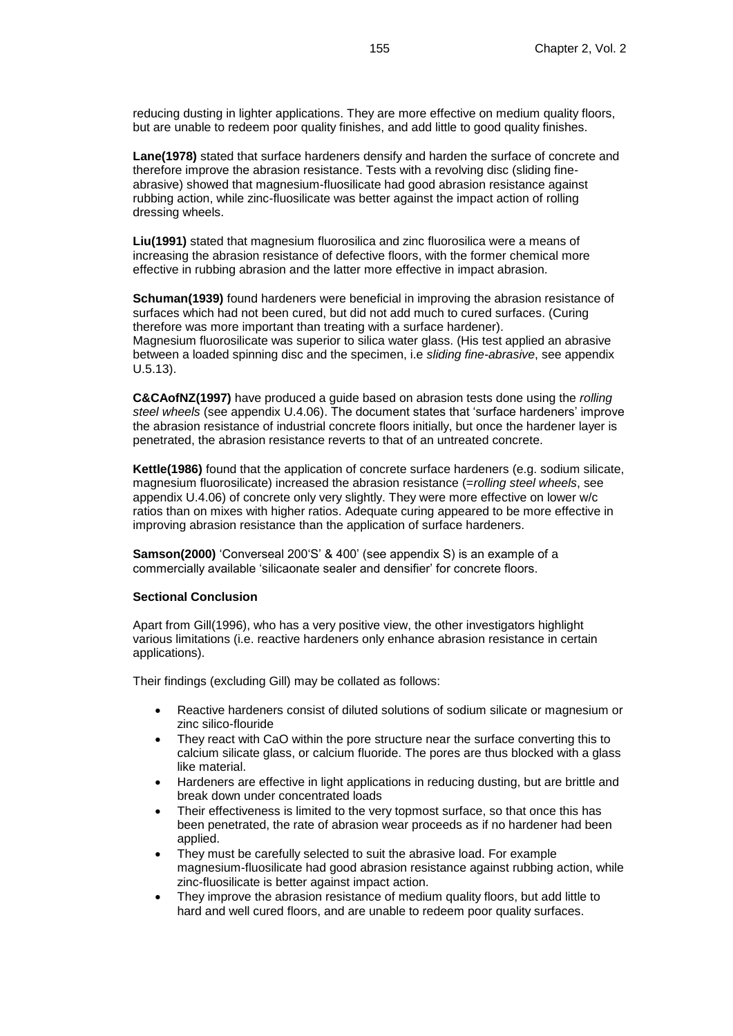reducing dusting in lighter applications. They are more effective on medium quality floors, but are unable to redeem poor quality finishes, and add little to good quality finishes.

**Lane(1978)** stated that surface hardeners densify and harden the surface of concrete and therefore improve the abrasion resistance. Tests with a revolving disc (sliding fineabrasive) showed that magnesium-fluosilicate had good abrasion resistance against rubbing action, while zinc-fluosilicate was better against the impact action of rolling dressing wheels.

**Liu(1991)** stated that magnesium fluorosilica and zinc fluorosilica were a means of increasing the abrasion resistance of defective floors, with the former chemical more effective in rubbing abrasion and the latter more effective in impact abrasion.

**Schuman(1939)** found hardeners were beneficial in improving the abrasion resistance of surfaces which had not been cured, but did not add much to cured surfaces. (Curing therefore was more important than treating with a surface hardener). Magnesium fluorosilicate was superior to silica water glass. (His test applied an abrasive between a loaded spinning disc and the specimen, i.e *sliding fine-abrasive*, see appendix U.5.13).

**C&CAofNZ(1997)** have produced a guide based on abrasion tests done using the *rolling steel wheels* (see appendix U.4.06). The document states that 'surface hardeners' improve the abrasion resistance of industrial concrete floors initially, but once the hardener layer is penetrated, the abrasion resistance reverts to that of an untreated concrete.

**Kettle(1986)** found that the application of concrete surface hardeners (e.g. sodium silicate, magnesium fluorosilicate) increased the abrasion resistance (=*rolling steel wheels*, see appendix U.4.06) of concrete only very slightly. They were more effective on lower w/c ratios than on mixes with higher ratios. Adequate curing appeared to be more effective in improving abrasion resistance than the application of surface hardeners.

**Samson(2000)** 'Converseal 200'S' & 400' (see appendix S) is an example of a commercially available 'silicaonate sealer and densifier' for concrete floors.

#### **Sectional Conclusion**

Apart from Gill(1996), who has a very positive view, the other investigators highlight various limitations (i.e. reactive hardeners only enhance abrasion resistance in certain applications).

Their findings (excluding Gill) may be collated as follows:

- Reactive hardeners consist of diluted solutions of sodium silicate or magnesium or zinc silico-flouride
- They react with CaO within the pore structure near the surface converting this to calcium silicate glass, or calcium fluoride. The pores are thus blocked with a glass like material.
- Hardeners are effective in light applications in reducing dusting, but are brittle and break down under concentrated loads
- Their effectiveness is limited to the very topmost surface, so that once this has been penetrated, the rate of abrasion wear proceeds as if no hardener had been applied.
- They must be carefully selected to suit the abrasive load. For example magnesium-fluosilicate had good abrasion resistance against rubbing action, while zinc-fluosilicate is better against impact action.
- They improve the abrasion resistance of medium quality floors, but add little to hard and well cured floors, and are unable to redeem poor quality surfaces.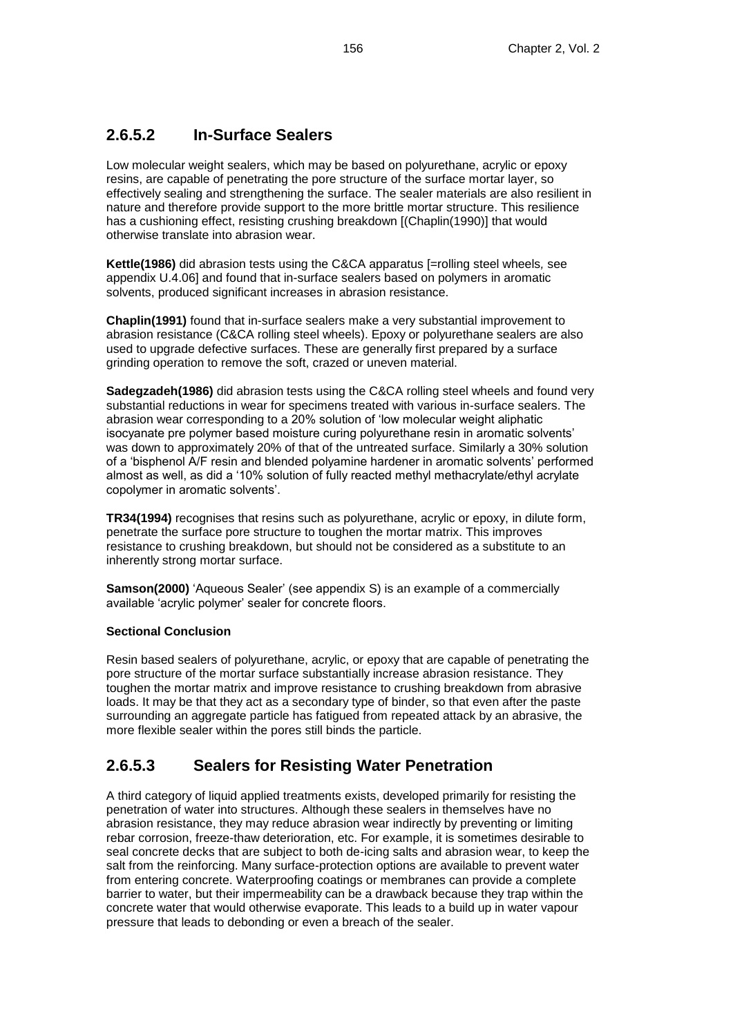### **2.6.5.2 In-Surface Sealers**

Low molecular weight sealers, which may be based on polyurethane, acrylic or epoxy resins, are capable of penetrating the pore structure of the surface mortar layer, so effectively sealing and strengthening the surface. The sealer materials are also resilient in nature and therefore provide support to the more brittle mortar structure. This resilience has a cushioning effect, resisting crushing breakdown [(Chaplin(1990)] that would otherwise translate into abrasion wear.

**Kettle(1986)** did abrasion tests using the C&CA apparatus [=rolling steel wheels*,* see appendix U.4.06] and found that in-surface sealers based on polymers in aromatic solvents, produced significant increases in abrasion resistance.

**Chaplin(1991)** found that in-surface sealers make a very substantial improvement to abrasion resistance (C&CA rolling steel wheels). Epoxy or polyurethane sealers are also used to upgrade defective surfaces. These are generally first prepared by a surface grinding operation to remove the soft, crazed or uneven material.

**Sadegzadeh(1986)** did abrasion tests using the C&CA rolling steel wheels and found very substantial reductions in wear for specimens treated with various in-surface sealers. The abrasion wear corresponding to a 20% solution of 'low molecular weight aliphatic isocyanate pre polymer based moisture curing polyurethane resin in aromatic solvents' was down to approximately 20% of that of the untreated surface. Similarly a 30% solution of a 'bisphenol A/F resin and blended polyamine hardener in aromatic solvents' performed almost as well, as did a '10% solution of fully reacted methyl methacrylate/ethyl acrylate copolymer in aromatic solvents'.

**TR34(1994)** recognises that resins such as polyurethane, acrylic or epoxy, in dilute form, penetrate the surface pore structure to toughen the mortar matrix. This improves resistance to crushing breakdown, but should not be considered as a substitute to an inherently strong mortar surface.

**Samson(2000)** 'Aqueous Sealer' (see appendix S) is an example of a commercially available 'acrylic polymer' sealer for concrete floors.

#### **Sectional Conclusion**

Resin based sealers of polyurethane, acrylic, or epoxy that are capable of penetrating the pore structure of the mortar surface substantially increase abrasion resistance. They toughen the mortar matrix and improve resistance to crushing breakdown from abrasive loads. It may be that they act as a secondary type of binder, so that even after the paste surrounding an aggregate particle has fatigued from repeated attack by an abrasive, the more flexible sealer within the pores still binds the particle.

### **2.6.5.3 Sealers for Resisting Water Penetration**

A third category of liquid applied treatments exists, developed primarily for resisting the penetration of water into structures. Although these sealers in themselves have no abrasion resistance, they may reduce abrasion wear indirectly by preventing or limiting rebar corrosion, freeze-thaw deterioration, etc. For example, it is sometimes desirable to seal concrete decks that are subject to both de-icing salts and abrasion wear, to keep the salt from the reinforcing. Many surface-protection options are available to prevent water from entering concrete. Waterproofing coatings or membranes can provide a complete barrier to water, but their impermeability can be a drawback because they trap within the concrete water that would otherwise evaporate. This leads to a build up in water vapour pressure that leads to debonding or even a breach of the sealer.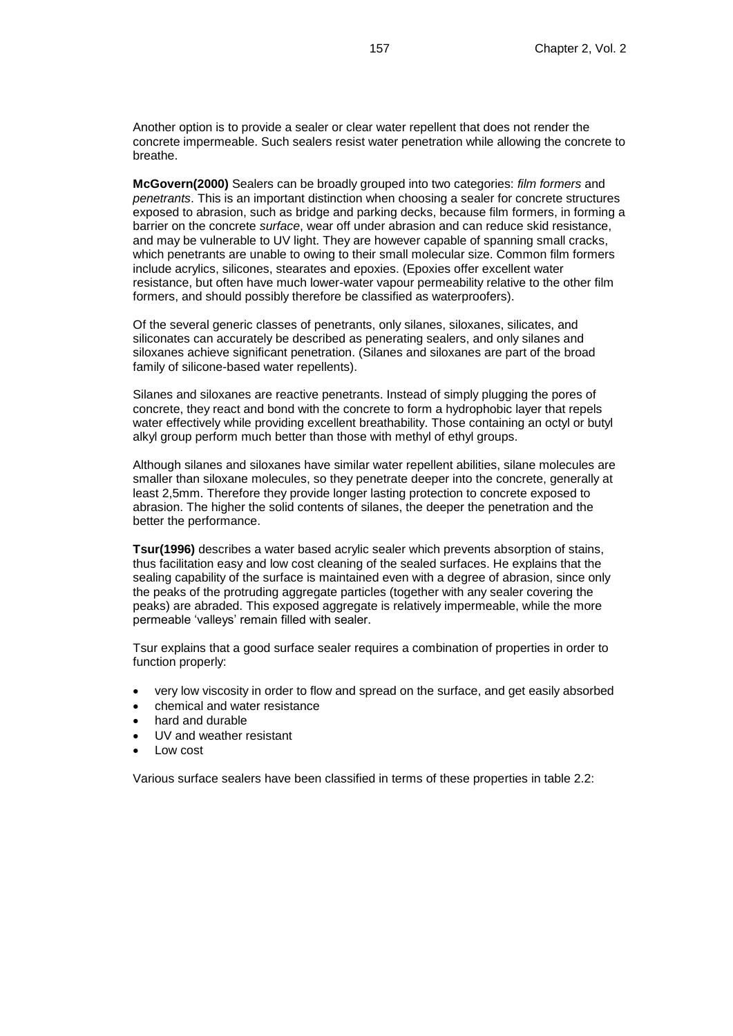Another option is to provide a sealer or clear water repellent that does not render the concrete impermeable. Such sealers resist water penetration while allowing the concrete to breathe.

**McGovern(2000)** Sealers can be broadly grouped into two categories: *film formers* and *penetrants*. This is an important distinction when choosing a sealer for concrete structures exposed to abrasion, such as bridge and parking decks, because film formers, in forming a barrier on the concrete *surface*, wear off under abrasion and can reduce skid resistance, and may be vulnerable to UV light. They are however capable of spanning small cracks, which penetrants are unable to owing to their small molecular size. Common film formers include acrylics, silicones, stearates and epoxies. (Epoxies offer excellent water resistance, but often have much lower-water vapour permeability relative to the other film formers, and should possibly therefore be classified as waterproofers).

Of the several generic classes of penetrants, only silanes, siloxanes, silicates, and siliconates can accurately be described as penerating sealers, and only silanes and siloxanes achieve significant penetration. (Silanes and siloxanes are part of the broad family of silicone-based water repellents).

Silanes and siloxanes are reactive penetrants. Instead of simply plugging the pores of concrete, they react and bond with the concrete to form a hydrophobic layer that repels water effectively while providing excellent breathability. Those containing an octyl or butyl alkyl group perform much better than those with methyl of ethyl groups.

Although silanes and siloxanes have similar water repellent abilities, silane molecules are smaller than siloxane molecules, so they penetrate deeper into the concrete, generally at least 2,5mm. Therefore they provide longer lasting protection to concrete exposed to abrasion. The higher the solid contents of silanes, the deeper the penetration and the better the performance.

**Tsur(1996)** describes a water based acrylic sealer which prevents absorption of stains, thus facilitation easy and low cost cleaning of the sealed surfaces. He explains that the sealing capability of the surface is maintained even with a degree of abrasion, since only the peaks of the protruding aggregate particles (together with any sealer covering the peaks) are abraded. This exposed aggregate is relatively impermeable, while the more permeable 'valleys' remain filled with sealer.

Tsur explains that a good surface sealer requires a combination of properties in order to function properly:

- very low viscosity in order to flow and spread on the surface, and get easily absorbed
- chemical and water resistance
- hard and durable
- UV and weather resistant
- Low cost

Various surface sealers have been classified in terms of these properties in table 2.2: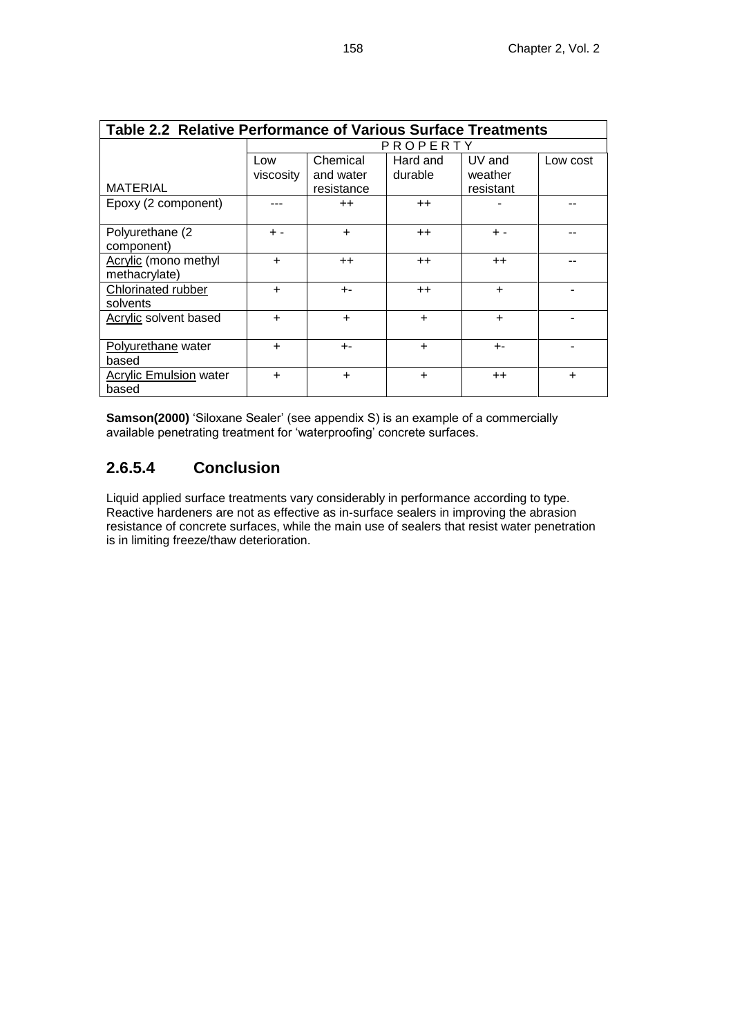| <b>Table 2.2 Relative Performance of Various Surface Treatments</b> |                  |                                     |                     |                                |           |  |  |
|---------------------------------------------------------------------|------------------|-------------------------------------|---------------------|--------------------------------|-----------|--|--|
|                                                                     | PROPERTY         |                                     |                     |                                |           |  |  |
| <b>MATERIAL</b>                                                     | Low<br>viscosity | Chemical<br>and water<br>resistance | Hard and<br>durable | UV and<br>weather<br>resistant | Low cost  |  |  |
| Epoxy (2 component)                                                 |                  | $++$                                | $++$                |                                |           |  |  |
| Polyurethane (2<br>component)                                       | $+ -$            | $\ddot{}$                           | $++$                | $+ -$                          |           |  |  |
| Acrylic (mono methyl<br>methacrylate)                               | $\ddot{}$        | $++$                                | $++$                | $++$                           |           |  |  |
| Chlorinated rubber<br>solvents                                      | +                | $+ -$                               | $^{++}$             | $\ddot{}$                      |           |  |  |
| <b>Acrylic solvent based</b>                                        | ÷                | $\ddot{}$                           | ÷                   | $\ddot{}$                      |           |  |  |
| Polyurethane water<br>based                                         | +                | $+ -$                               | $\ddot{}$           | $+ -$                          |           |  |  |
| <b>Acrylic Emulsion water</b><br>based                              | $\ddot{}$        | $\ddot{}$                           | $\ddot{}$           | $^{++}$                        | $\ddot{}$ |  |  |

**Samson(2000)** 'Siloxane Sealer' (see appendix S) is an example of a commercially available penetrating treatment for 'waterproofing' concrete surfaces.

## **2.6.5.4 Conclusion**

Liquid applied surface treatments vary considerably in performance according to type. Reactive hardeners are not as effective as in-surface sealers in improving the abrasion resistance of concrete surfaces, while the main use of sealers that resist water penetration is in limiting freeze/thaw deterioration.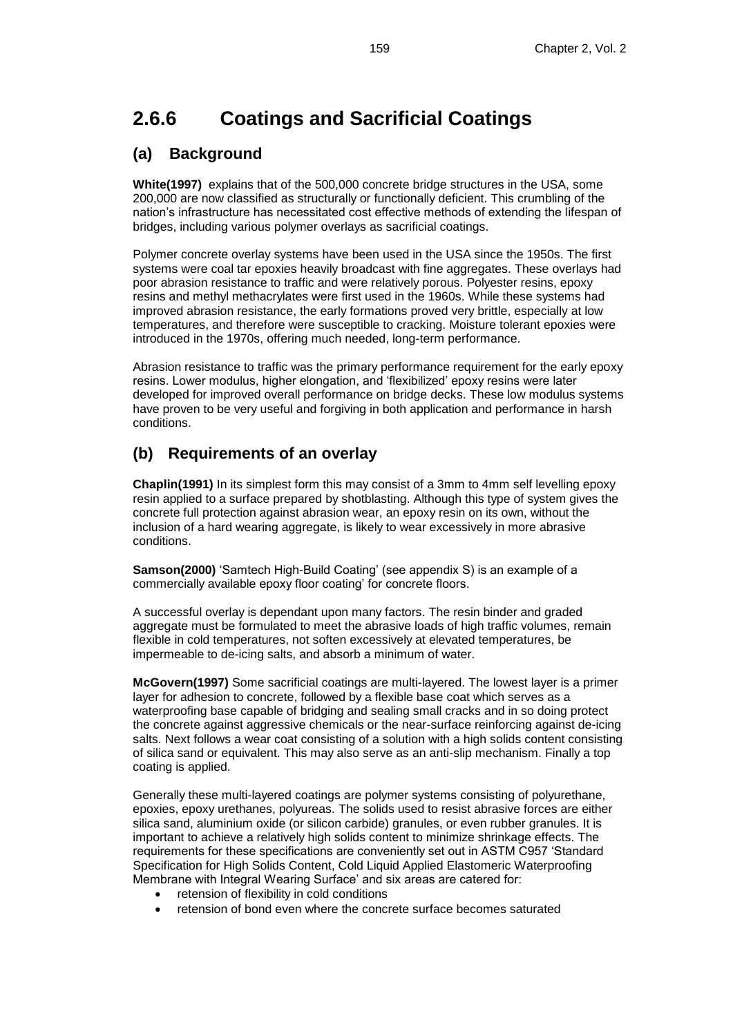## **2.6.6 Coatings and Sacrificial Coatings**

## **(a) Background**

**White(1997)** explains that of the 500,000 concrete bridge structures in the USA, some 200,000 are now classified as structurally or functionally deficient. This crumbling of the nation's infrastructure has necessitated cost effective methods of extending the lifespan of bridges, including various polymer overlays as sacrificial coatings.

Polymer concrete overlay systems have been used in the USA since the 1950s. The first systems were coal tar epoxies heavily broadcast with fine aggregates. These overlays had poor abrasion resistance to traffic and were relatively porous. Polyester resins, epoxy resins and methyl methacrylates were first used in the 1960s. While these systems had improved abrasion resistance, the early formations proved very brittle, especially at low temperatures, and therefore were susceptible to cracking. Moisture tolerant epoxies were introduced in the 1970s, offering much needed, long-term performance.

Abrasion resistance to traffic was the primary performance requirement for the early epoxy resins. Lower modulus, higher elongation, and 'flexibilized' epoxy resins were later developed for improved overall performance on bridge decks. These low modulus systems have proven to be very useful and forgiving in both application and performance in harsh conditions.

## **(b) Requirements of an overlay**

**Chaplin(1991)** In its simplest form this may consist of a 3mm to 4mm self levelling epoxy resin applied to a surface prepared by shotblasting. Although this type of system gives the concrete full protection against abrasion wear, an epoxy resin on its own, without the inclusion of a hard wearing aggregate, is likely to wear excessively in more abrasive conditions.

**Samson(2000)** 'Samtech High-Build Coating' (see appendix S) is an example of a commercially available epoxy floor coating' for concrete floors.

A successful overlay is dependant upon many factors. The resin binder and graded aggregate must be formulated to meet the abrasive loads of high traffic volumes, remain flexible in cold temperatures, not soften excessively at elevated temperatures, be impermeable to de-icing salts, and absorb a minimum of water.

**McGovern(1997)** Some sacrificial coatings are multi-layered. The lowest layer is a primer layer for adhesion to concrete, followed by a flexible base coat which serves as a waterproofing base capable of bridging and sealing small cracks and in so doing protect the concrete against aggressive chemicals or the near-surface reinforcing against de-icing salts. Next follows a wear coat consisting of a solution with a high solids content consisting of silica sand or equivalent. This may also serve as an anti-slip mechanism. Finally a top coating is applied.

Generally these multi-layered coatings are polymer systems consisting of polyurethane, epoxies, epoxy urethanes, polyureas. The solids used to resist abrasive forces are either silica sand, aluminium oxide (or silicon carbide) granules, or even rubber granules. It is important to achieve a relatively high solids content to minimize shrinkage effects. The requirements for these specifications are conveniently set out in ASTM C957 'Standard Specification for High Solids Content, Cold Liquid Applied Elastomeric Waterproofing Membrane with Integral Wearing Surface' and six areas are catered for:

- retension of flexibility in cold conditions
- retension of bond even where the concrete surface becomes saturated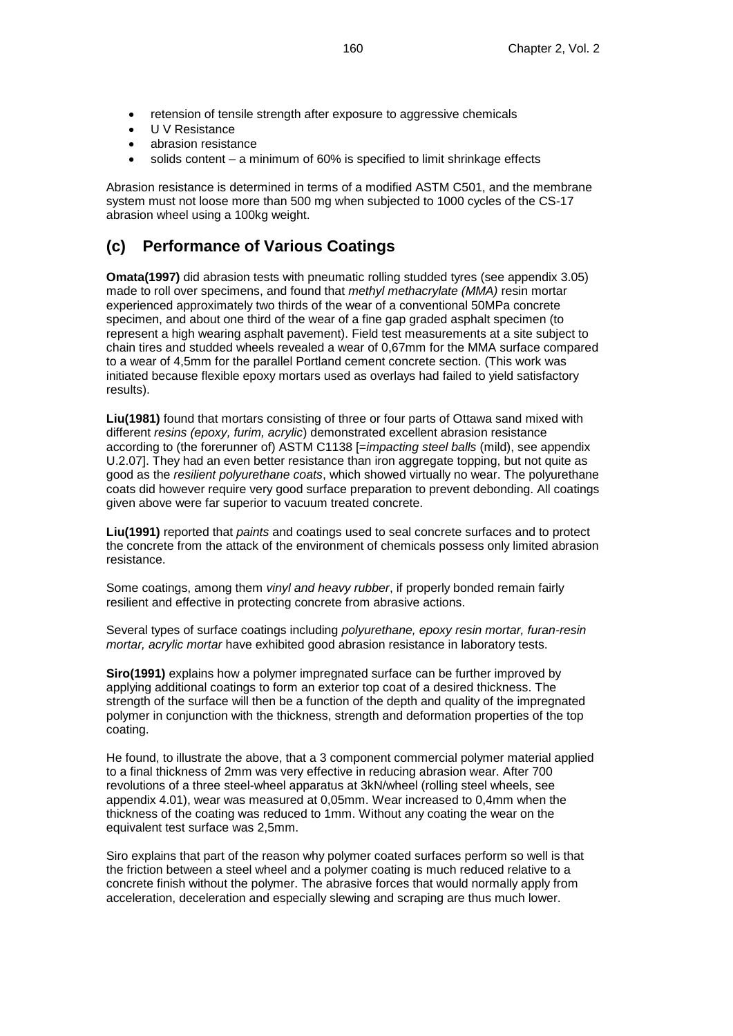- retension of tensile strength after exposure to aggressive chemicals
- U V Resistance
- abrasion resistance
- solids content a minimum of 60% is specified to limit shrinkage effects

Abrasion resistance is determined in terms of a modified ASTM C501, and the membrane system must not loose more than 500 mg when subjected to 1000 cycles of the CS-17 abrasion wheel using a 100kg weight.

## **(c) Performance of Various Coatings**

**Omata(1997)** did abrasion tests with pneumatic rolling studded tyres (see appendix 3.05) made to roll over specimens, and found that *methyl methacrylate (MMA)* resin mortar experienced approximately two thirds of the wear of a conventional 50MPa concrete specimen, and about one third of the wear of a fine gap graded asphalt specimen (to represent a high wearing asphalt pavement). Field test measurements at a site subject to chain tires and studded wheels revealed a wear of 0,67mm for the MMA surface compared to a wear of 4,5mm for the parallel Portland cement concrete section. (This work was initiated because flexible epoxy mortars used as overlays had failed to yield satisfactory results).

**Liu(1981)** found that mortars consisting of three or four parts of Ottawa sand mixed with different *resins (epoxy, furim, acrylic*) demonstrated excellent abrasion resistance according to (the forerunner of) ASTM C1138 [=*impacting steel balls* (mild), see appendix U.2.07]. They had an even better resistance than iron aggregate topping, but not quite as good as the *resilient polyurethane coats*, which showed virtually no wear. The polyurethane coats did however require very good surface preparation to prevent debonding. All coatings given above were far superior to vacuum treated concrete.

**Liu(1991)** reported that *paints* and coatings used to seal concrete surfaces and to protect the concrete from the attack of the environment of chemicals possess only limited abrasion resistance.

Some coatings, among them *vinyl and heavy rubber*, if properly bonded remain fairly resilient and effective in protecting concrete from abrasive actions.

Several types of surface coatings including *polyurethane, epoxy resin mortar, furan-resin mortar, acrylic mortar* have exhibited good abrasion resistance in laboratory tests.

**Siro(1991)** explains how a polymer impregnated surface can be further improved by applying additional coatings to form an exterior top coat of a desired thickness. The strength of the surface will then be a function of the depth and quality of the impregnated polymer in conjunction with the thickness, strength and deformation properties of the top coating.

He found, to illustrate the above, that a 3 component commercial polymer material applied to a final thickness of 2mm was very effective in reducing abrasion wear. After 700 revolutions of a three steel-wheel apparatus at 3kN/wheel (rolling steel wheels, see appendix 4.01), wear was measured at 0,05mm. Wear increased to 0,4mm when the thickness of the coating was reduced to 1mm. Without any coating the wear on the equivalent test surface was 2,5mm.

Siro explains that part of the reason why polymer coated surfaces perform so well is that the friction between a steel wheel and a polymer coating is much reduced relative to a concrete finish without the polymer. The abrasive forces that would normally apply from acceleration, deceleration and especially slewing and scraping are thus much lower.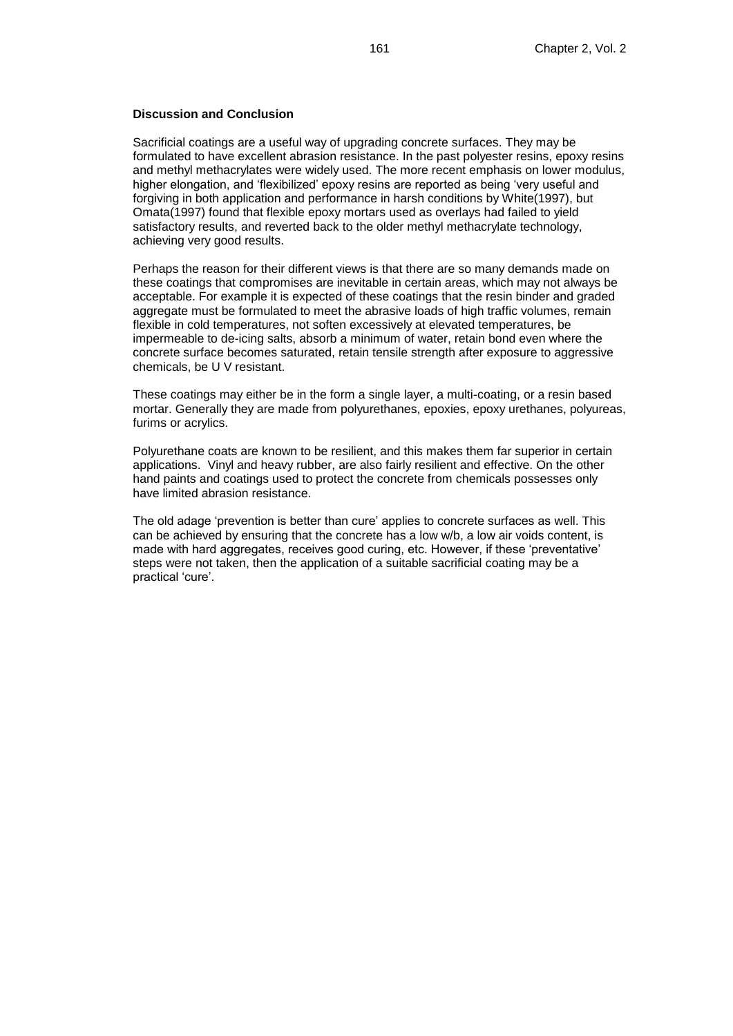#### **Discussion and Conclusion**

Sacrificial coatings are a useful way of upgrading concrete surfaces. They may be formulated to have excellent abrasion resistance. In the past polyester resins, epoxy resins and methyl methacrylates were widely used. The more recent emphasis on lower modulus, higher elongation, and 'flexibilized' epoxy resins are reported as being 'very useful and forgiving in both application and performance in harsh conditions by White(1997), but Omata(1997) found that flexible epoxy mortars used as overlays had failed to yield satisfactory results, and reverted back to the older methyl methacrylate technology, achieving very good results.

Perhaps the reason for their different views is that there are so many demands made on these coatings that compromises are inevitable in certain areas, which may not always be acceptable. For example it is expected of these coatings that the resin binder and graded aggregate must be formulated to meet the abrasive loads of high traffic volumes, remain flexible in cold temperatures, not soften excessively at elevated temperatures, be impermeable to de-icing salts, absorb a minimum of water, retain bond even where the concrete surface becomes saturated, retain tensile strength after exposure to aggressive chemicals, be U V resistant.

These coatings may either be in the form a single layer, a multi-coating, or a resin based mortar. Generally they are made from polyurethanes, epoxies, epoxy urethanes, polyureas, furims or acrylics.

Polyurethane coats are known to be resilient, and this makes them far superior in certain applications. Vinyl and heavy rubber, are also fairly resilient and effective. On the other hand paints and coatings used to protect the concrete from chemicals possesses only have limited abrasion resistance.

The old adage 'prevention is better than cure' applies to concrete surfaces as well. This can be achieved by ensuring that the concrete has a low w/b, a low air voids content, is made with hard aggregates, receives good curing, etc. However, if these 'preventative' steps were not taken, then the application of a suitable sacrificial coating may be a practical 'cure'.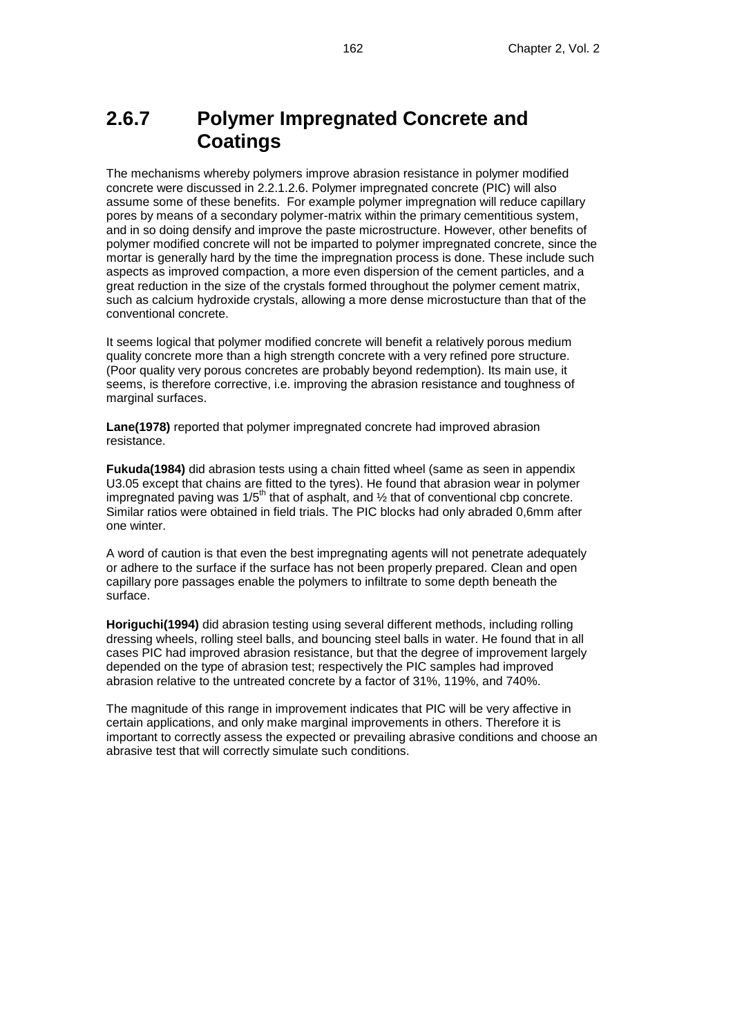## **2.6.7 Polymer Impregnated Concrete and Coatings**

The mechanisms whereby polymers improve abrasion resistance in polymer modified concrete were discussed in 2.2.1.2.6. Polymer impregnated concrete (PIC) will also assume some of these benefits. For example polymer impregnation will reduce capillary pores by means of a secondary polymer-matrix within the primary cementitious system, and in so doing densify and improve the paste microstructure. However, other benefits of polymer modified concrete will not be imparted to polymer impregnated concrete, since the mortar is generally hard by the time the impregnation process is done. These include such aspects as improved compaction, a more even dispersion of the cement particles, and a great reduction in the size of the crystals formed throughout the polymer cement matrix, such as calcium hydroxide crystals, allowing a more dense microstucture than that of the conventional concrete.

It seems logical that polymer modified concrete will benefit a relatively porous medium quality concrete more than a high strength concrete with a very refined pore structure. (Poor quality very porous concretes are probably beyond redemption). Its main use, it seems, is therefore corrective, i.e. improving the abrasion resistance and toughness of marginal surfaces.

**Lane(1978)** reported that polymer impregnated concrete had improved abrasion resistance.

**Fukuda(1984)** did abrasion tests using a chain fitted wheel (same as seen in appendix U3.05 except that chains are fitted to the tyres). He found that abrasion wear in polymer impregnated paving was  $1/5$ <sup>th</sup> that of asphalt, and  $\frac{1}{2}$  that of conventional cbp concrete. Similar ratios were obtained in field trials. The PIC blocks had only abraded 0,6mm after one winter.

A word of caution is that even the best impregnating agents will not penetrate adequately or adhere to the surface if the surface has not been properly prepared. Clean and open capillary pore passages enable the polymers to infiltrate to some depth beneath the surface.

**Horiguchi(1994)** did abrasion testing using several different methods, including rolling dressing wheels, rolling steel balls, and bouncing steel balls in water. He found that in all cases PIC had improved abrasion resistance, but that the degree of improvement largely depended on the type of abrasion test; respectively the PIC samples had improved abrasion relative to the untreated concrete by a factor of 31%, 119%, and 740%.

The magnitude of this range in improvement indicates that PIC will be very affective in certain applications, and only make marginal improvements in others. Therefore it is important to correctly assess the expected or prevailing abrasive conditions and choose an abrasive test that will correctly simulate such conditions.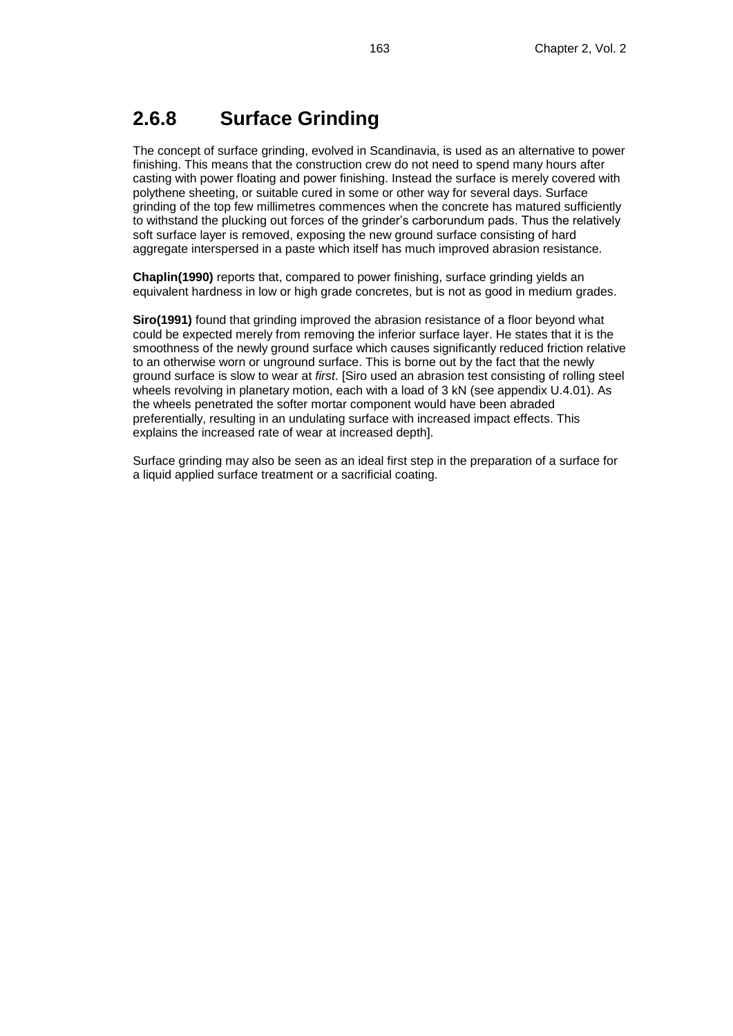## **2.6.8 Surface Grinding**

The concept of surface grinding, evolved in Scandinavia, is used as an alternative to power finishing. This means that the construction crew do not need to spend many hours after casting with power floating and power finishing. Instead the surface is merely covered with polythene sheeting, or suitable cured in some or other way for several days. Surface grinding of the top few millimetres commences when the concrete has matured sufficiently to withstand the plucking out forces of the grinder's carborundum pads. Thus the relatively soft surface layer is removed, exposing the new ground surface consisting of hard aggregate interspersed in a paste which itself has much improved abrasion resistance.

**Chaplin(1990)** reports that, compared to power finishing, surface grinding yields an equivalent hardness in low or high grade concretes, but is not as good in medium grades.

**Siro(1991)** found that grinding improved the abrasion resistance of a floor beyond what could be expected merely from removing the inferior surface layer. He states that it is the smoothness of the newly ground surface which causes significantly reduced friction relative to an otherwise worn or unground surface. This is borne out by the fact that the newly ground surface is slow to wear at *first*. [Siro used an abrasion test consisting of rolling steel wheels revolving in planetary motion, each with a load of 3 kN (see appendix U.4.01). As the wheels penetrated the softer mortar component would have been abraded preferentially, resulting in an undulating surface with increased impact effects. This explains the increased rate of wear at increased depth].

Surface grinding may also be seen as an ideal first step in the preparation of a surface for a liquid applied surface treatment or a sacrificial coating.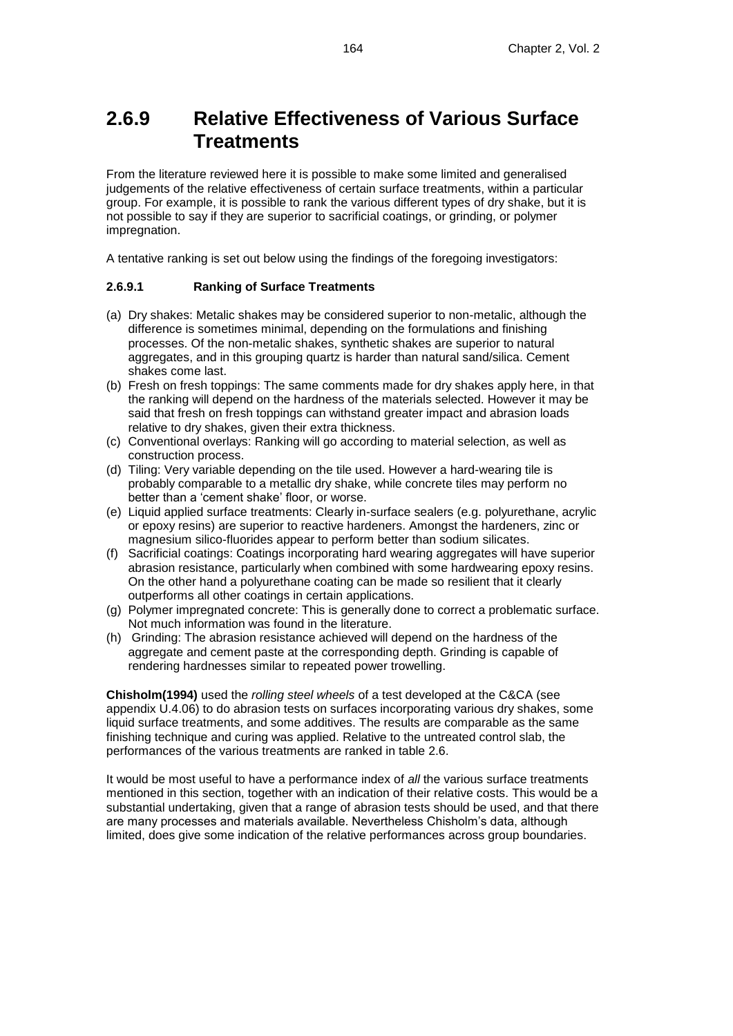## **2.6.9 Relative Effectiveness of Various Surface Treatments**

From the literature reviewed here it is possible to make some limited and generalised judgements of the relative effectiveness of certain surface treatments, within a particular group. For example, it is possible to rank the various different types of dry shake, but it is not possible to say if they are superior to sacrificial coatings, or grinding, or polymer impregnation.

A tentative ranking is set out below using the findings of the foregoing investigators:

#### **2.6.9.1 Ranking of Surface Treatments**

- (a) Dry shakes: Metalic shakes may be considered superior to non-metalic, although the difference is sometimes minimal, depending on the formulations and finishing processes. Of the non-metalic shakes, synthetic shakes are superior to natural aggregates, and in this grouping quartz is harder than natural sand/silica. Cement shakes come last.
- (b) Fresh on fresh toppings: The same comments made for dry shakes apply here, in that the ranking will depend on the hardness of the materials selected. However it may be said that fresh on fresh toppings can withstand greater impact and abrasion loads relative to dry shakes, given their extra thickness.
- (c) Conventional overlays: Ranking will go according to material selection, as well as construction process.
- (d) Tiling: Very variable depending on the tile used. However a hard-wearing tile is probably comparable to a metallic dry shake, while concrete tiles may perform no better than a 'cement shake' floor, or worse.
- (e) Liquid applied surface treatments: Clearly in-surface sealers (e.g. polyurethane, acrylic or epoxy resins) are superior to reactive hardeners. Amongst the hardeners, zinc or magnesium silico-fluorides appear to perform better than sodium silicates.
- (f) Sacrificial coatings: Coatings incorporating hard wearing aggregates will have superior abrasion resistance, particularly when combined with some hardwearing epoxy resins. On the other hand a polyurethane coating can be made so resilient that it clearly outperforms all other coatings in certain applications.
- (g) Polymer impregnated concrete: This is generally done to correct a problematic surface. Not much information was found in the literature.
- (h) Grinding: The abrasion resistance achieved will depend on the hardness of the aggregate and cement paste at the corresponding depth. Grinding is capable of rendering hardnesses similar to repeated power trowelling.

**Chisholm(1994)** used the *rolling steel wheels* of a test developed at the C&CA (see appendix U.4.06) to do abrasion tests on surfaces incorporating various dry shakes, some liquid surface treatments, and some additives. The results are comparable as the same finishing technique and curing was applied. Relative to the untreated control slab, the performances of the various treatments are ranked in table 2.6.

It would be most useful to have a performance index of *all* the various surface treatments mentioned in this section, together with an indication of their relative costs. This would be a substantial undertaking, given that a range of abrasion tests should be used, and that there are many processes and materials available. Nevertheless Chisholm's data, although limited, does give some indication of the relative performances across group boundaries.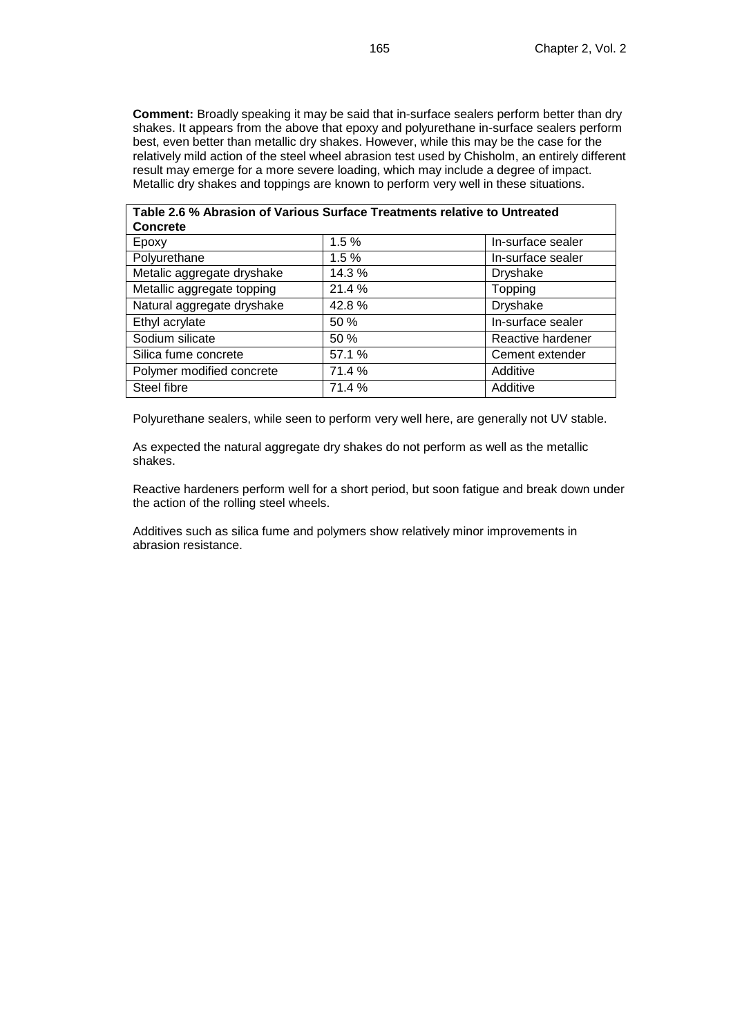**Comment:** Broadly speaking it may be said that in-surface sealers perform better than dry shakes. It appears from the above that epoxy and polyurethane in-surface sealers perform best, even better than metallic dry shakes. However, while this may be the case for the relatively mild action of the steel wheel abrasion test used by Chisholm, an entirely different result may emerge for a more severe loading, which may include a degree of impact. Metallic dry shakes and toppings are known to perform very well in these situations.

| Table 2.6 % Abrasion of Various Surface Treatments relative to Untreated<br><b>Concrete</b> |        |                   |  |  |  |
|---------------------------------------------------------------------------------------------|--------|-------------------|--|--|--|
| Epoxy                                                                                       | 1.5%   | In-surface sealer |  |  |  |
| Polyurethane                                                                                | 1.5%   | In-surface sealer |  |  |  |
| Metalic aggregate dryshake                                                                  | 14.3 % | <b>Dryshake</b>   |  |  |  |
| Metallic aggregate topping                                                                  | 21.4 % | Topping           |  |  |  |
| Natural aggregate dryshake                                                                  | 42.8%  | Dryshake          |  |  |  |
| Ethyl acrylate                                                                              | 50 %   | In-surface sealer |  |  |  |
| Sodium silicate                                                                             | 50 %   | Reactive hardener |  |  |  |
| Silica fume concrete                                                                        | 57.1 % | Cement extender   |  |  |  |
| Polymer modified concrete                                                                   | 71.4%  | Additive          |  |  |  |
| Steel fibre                                                                                 | 71.4 % | Additive          |  |  |  |

Polyurethane sealers, while seen to perform very well here, are generally not UV stable.

As expected the natural aggregate dry shakes do not perform as well as the metallic shakes.

Reactive hardeners perform well for a short period, but soon fatigue and break down under the action of the rolling steel wheels.

Additives such as silica fume and polymers show relatively minor improvements in abrasion resistance.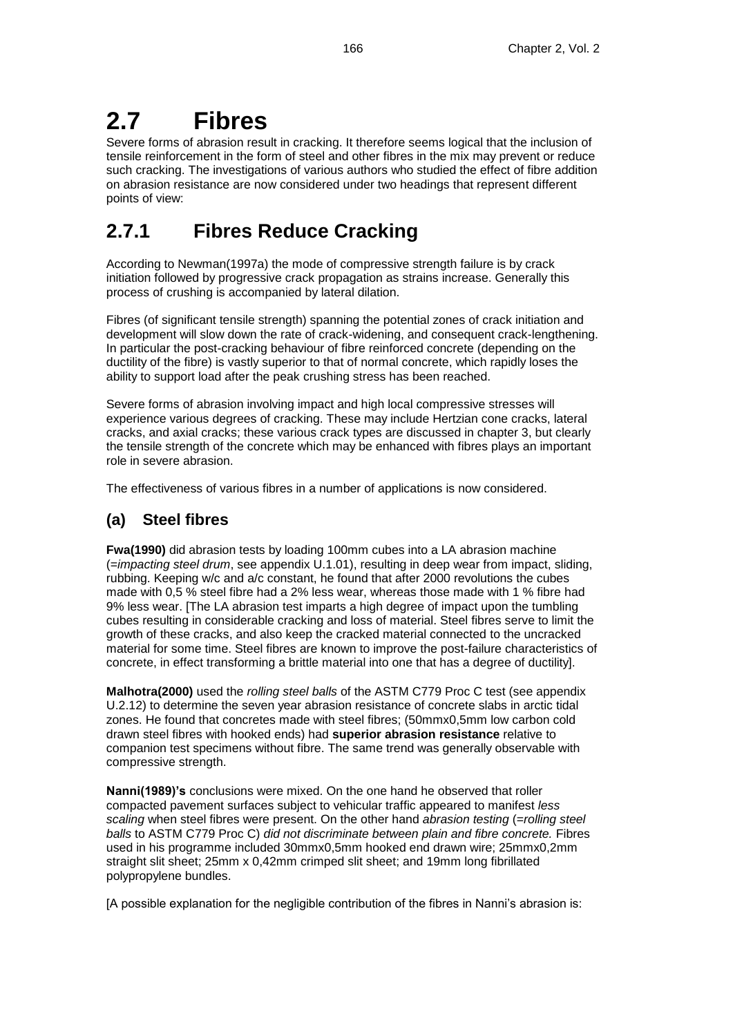# **2.7 Fibres**

Severe forms of abrasion result in cracking. It therefore seems logical that the inclusion of tensile reinforcement in the form of steel and other fibres in the mix may prevent or reduce such cracking. The investigations of various authors who studied the effect of fibre addition on abrasion resistance are now considered under two headings that represent different points of view:

## **2.7.1 Fibres Reduce Cracking**

According to Newman(1997a) the mode of compressive strength failure is by crack initiation followed by progressive crack propagation as strains increase. Generally this process of crushing is accompanied by lateral dilation.

Fibres (of significant tensile strength) spanning the potential zones of crack initiation and development will slow down the rate of crack-widening, and consequent crack-lengthening. In particular the post-cracking behaviour of fibre reinforced concrete (depending on the ductility of the fibre) is vastly superior to that of normal concrete, which rapidly loses the ability to support load after the peak crushing stress has been reached.

Severe forms of abrasion involving impact and high local compressive stresses will experience various degrees of cracking. These may include Hertzian cone cracks, lateral cracks, and axial cracks; these various crack types are discussed in chapter 3, but clearly the tensile strength of the concrete which may be enhanced with fibres plays an important role in severe abrasion.

The effectiveness of various fibres in a number of applications is now considered.

## **(a) Steel fibres**

**Fwa(1990)** did abrasion tests by loading 100mm cubes into a LA abrasion machine (=*impacting steel drum*, see appendix U.1.01), resulting in deep wear from impact, sliding, rubbing. Keeping w/c and a/c constant, he found that after 2000 revolutions the cubes made with 0,5 % steel fibre had a 2% less wear, whereas those made with 1 % fibre had 9% less wear. [The LA abrasion test imparts a high degree of impact upon the tumbling cubes resulting in considerable cracking and loss of material. Steel fibres serve to limit the growth of these cracks, and also keep the cracked material connected to the uncracked material for some time. Steel fibres are known to improve the post-failure characteristics of concrete, in effect transforming a brittle material into one that has a degree of ductility].

**Malhotra(2000)** used the *rolling steel balls* of the ASTM C779 Proc C test (see appendix U.2.12) to determine the seven year abrasion resistance of concrete slabs in arctic tidal zones. He found that concretes made with steel fibres; (50mmx0,5mm low carbon cold drawn steel fibres with hooked ends) had **superior abrasion resistance** relative to companion test specimens without fibre. The same trend was generally observable with compressive strength.

**Nanni(1989)'s** conclusions were mixed. On the one hand he observed that roller compacted pavement surfaces subject to vehicular traffic appeared to manifest *less scaling* when steel fibres were present. On the other hand *abrasion testing* (=*rolling steel balls* to ASTM C779 Proc C) *did not discriminate between plain and fibre concrete.* Fibres used in his programme included 30mmx0,5mm hooked end drawn wire; 25mmx0,2mm straight slit sheet; 25mm x 0,42mm crimped slit sheet; and 19mm long fibrillated polypropylene bundles.

[A possible explanation for the negligible contribution of the fibres in Nanni's abrasion is: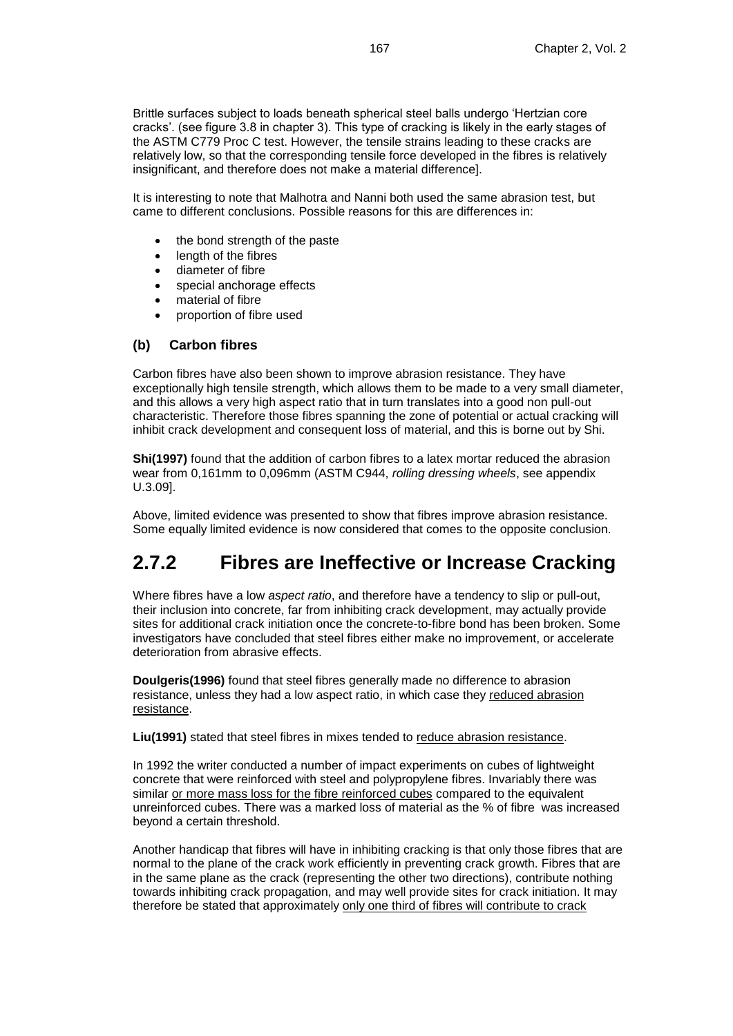Brittle surfaces subject to loads beneath spherical steel balls undergo 'Hertzian core cracks'. (see figure 3.8 in chapter 3). This type of cracking is likely in the early stages of the ASTM C779 Proc C test. However, the tensile strains leading to these cracks are relatively low, so that the corresponding tensile force developed in the fibres is relatively insignificant, and therefore does not make a material difference].

It is interesting to note that Malhotra and Nanni both used the same abrasion test, but came to different conclusions. Possible reasons for this are differences in:

- the bond strength of the paste
- length of the fibres
- diameter of fibre
- special anchorage effects
- material of fibre
- proportion of fibre used

### **(b) Carbon fibres**

Carbon fibres have also been shown to improve abrasion resistance. They have exceptionally high tensile strength, which allows them to be made to a very small diameter, and this allows a very high aspect ratio that in turn translates into a good non pull-out characteristic. Therefore those fibres spanning the zone of potential or actual cracking will inhibit crack development and consequent loss of material, and this is borne out by Shi.

**Shi(1997)** found that the addition of carbon fibres to a latex mortar reduced the abrasion wear from 0,161mm to 0,096mm (ASTM C944, *rolling dressing wheels*, see appendix U.3.09].

Above, limited evidence was presented to show that fibres improve abrasion resistance. Some equally limited evidence is now considered that comes to the opposite conclusion.

## **2.7.2 Fibres are Ineffective or Increase Cracking**

Where fibres have a low *aspect ratio*, and therefore have a tendency to slip or pull-out, their inclusion into concrete, far from inhibiting crack development, may actually provide sites for additional crack initiation once the concrete-to-fibre bond has been broken. Some investigators have concluded that steel fibres either make no improvement, or accelerate deterioration from abrasive effects.

**Doulgeris(1996)** found that steel fibres generally made no difference to abrasion resistance, unless they had a low aspect ratio, in which case they reduced abrasion resistance.

**Liu(1991)** stated that steel fibres in mixes tended to reduce abrasion resistance.

In 1992 the writer conducted a number of impact experiments on cubes of lightweight concrete that were reinforced with steel and polypropylene fibres. Invariably there was similar or more mass loss for the fibre reinforced cubes compared to the equivalent unreinforced cubes. There was a marked loss of material as the % of fibre was increased beyond a certain threshold.

Another handicap that fibres will have in inhibiting cracking is that only those fibres that are normal to the plane of the crack work efficiently in preventing crack growth. Fibres that are in the same plane as the crack (representing the other two directions), contribute nothing towards inhibiting crack propagation, and may well provide sites for crack initiation. It may therefore be stated that approximately only one third of fibres will contribute to crack